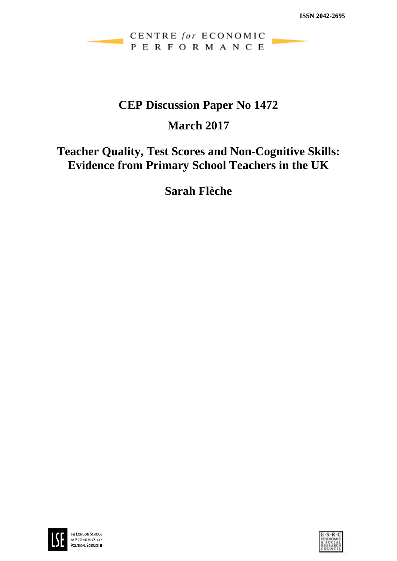## CENTRE for ECONOMIC PERFORMANCE

# **CEP Discussion Paper No 1472**

# **March 2017**

# **Teacher Quality, Test Scores and Non-Cognitive Skills: Evidence from Primary School Teachers in the UK**

**Sarah Flèche**



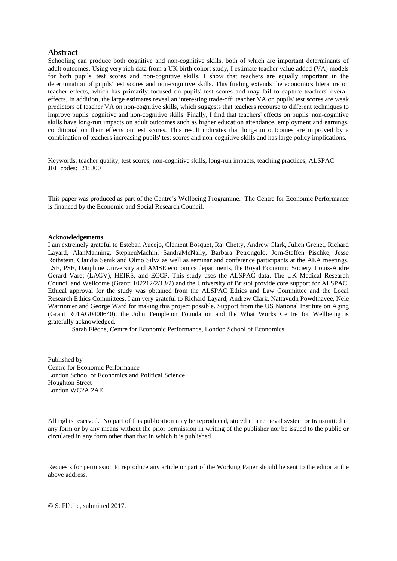#### **Abstract**

Schooling can produce both cognitive and non-cognitive skills, both of which are important determinants of adult outcomes. Using very rich data from a UK birth cohort study, I estimate teacher value added (VA) models for both pupils' test scores and non-cognitive skills. I show that teachers are equally important in the determination of pupils' test scores and non-cognitive skills. This finding extends the economics literature on teacher effects, which has primarily focused on pupils' test scores and may fail to capture teachers' overall effects. In addition, the large estimates reveal an interesting trade-off: teacher VA on pupils' test scores are weak predictors of teacher VA on non-cognitive skills, which suggests that teachers recourse to different techniques to improve pupils' cognitive and non-cognitive skills. Finally, I find that teachers' effects on pupils' non-cognitive skills have long-run impacts on adult outcomes such as higher education attendance, employment and earnings, conditional on their effects on test scores. This result indicates that long-run outcomes are improved by a combination of teachers increasing pupils' test scores and non-cognitive skills and has large policy implications.

Keywords: teacher quality, test scores, non-cognitive skills, long-run impacts, teaching practices, ALSPAC JEL codes: I21; J00

This paper was produced as part of the Centre's Wellbeing Programme. The Centre for Economic Performance is financed by the Economic and Social Research Council.

#### **Acknowledgements**

I am extremely grateful to Esteban Aucejo, Clement Bosquet, Raj Chetty, Andrew Clark, Julien Grenet, Richard Layard, AlanManning, StephenMachin, SandraMcNally, Barbara Petrongolo, Jorn-Steffen Pischke, Jesse Rothstein, Claudia Senik and Olmo Silva as well as seminar and conference participants at the AEA meetings, LSE, PSE, Dauphine University and AMSE economics departments, the Royal Economic Society, Louis-Andre Gerard Varet (LAGV), HEIRS, and ECCP. This study uses the ALSPAC data. The UK Medical Research Council and Wellcome (Grant: 102212/2/13/2) and the University of Bristol provide core support for ALSPAC. Ethical approval for the study was obtained from the ALSPAC Ethics and Law Committee and the Local Research Ethics Committees. I am very grateful to Richard Layard, Andrew Clark, Nattavudh Powdthavee, Nele Warrinnier and George Ward for making this project possible. Support from the US National Institute on Aging (Grant R01AG0400640), the John Templeton Foundation and the What Works Centre for Wellbeing is gratefully acknowledged.

Sarah Flèche, Centre for Economic Performance, London School of Economics.

Published by Centre for Economic Performance London School of Economics and Political Science Houghton Street London WC2A 2AE

All rights reserved. No part of this publication may be reproduced, stored in a retrieval system or transmitted in any form or by any means without the prior permission in writing of the publisher nor be issued to the public or circulated in any form other than that in which it is published.

Requests for permission to reproduce any article or part of the Working Paper should be sent to the editor at the above address.

© S. Flèche, submitted 2017.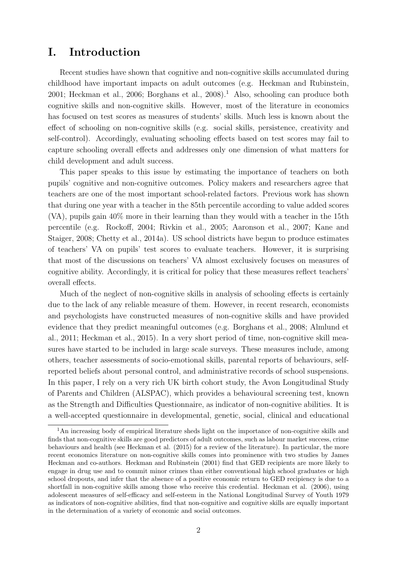# I. Introduction

Recent studies have shown that cognitive and non-cognitive skills accumulated during childhood have important impacts on adult outcomes (e.g. Heckman and Rubinstein,  $2001$ ; Heckman et al.,  $2006$ ; Borghans et al.,  $2008$ ).<sup>1</sup> Also, schooling can produce both cognitive skills and non-cognitive skills. However, most of the literature in economics has focused on test scores as measures of students' skills. Much less is known about the effect of schooling on non-cognitive skills (e.g. social skills, persistence, creativity and self-control). Accordingly, evaluating schooling effects based on test scores may fail to capture schooling overall effects and addresses only one dimension of what matters for child development and adult success.

This paper speaks to this issue by estimating the importance of teachers on both pupils' cognitive and non-cognitive outcomes. Policy makers and researchers agree that teachers are one of the most important school-related factors. Previous work has shown that during one year with a teacher in the 85th percentile according to value added scores (VA), pupils gain 40% more in their learning than they would with a teacher in the 15th percentile (e.g. Rockoff, 2004; Rivkin et al., 2005; Aaronson et al., 2007; Kane and Staiger, 2008; Chetty et al., 2014a). US school districts have begun to produce estimates of teachers' VA on pupils' test scores to evaluate teachers. However, it is surprising that most of the discussions on teachers' VA almost exclusively focuses on measures of cognitive ability. Accordingly, it is critical for policy that these measures reflect teachers' overall effects.

Much of the neglect of non-cognitive skills in analysis of schooling effects is certainly due to the lack of any reliable measure of them. However, in recent research, economists and psychologists have constructed measures of non-cognitive skills and have provided evidence that they predict meaningful outcomes (e.g. Borghans et al., 2008; Almlund et al., 2011; Heckman et al., 2015). In a very short period of time, non-cognitive skill measures have started to be included in large scale surveys. These measures include, among others, teacher assessments of socio-emotional skills, parental reports of behaviours, selfreported beliefs about personal control, and administrative records of school suspensions. In this paper, I rely on a very rich UK birth cohort study, the Avon Longitudinal Study of Parents and Children (ALSPAC), which provides a behavioural screening test, known as the Strength and Difficulties Questionnaire, as indicator of non-cognitive abilities. It is a well-accepted questionnaire in developmental, genetic, social, clinical and educational

<sup>&</sup>lt;sup>1</sup>An increasing body of empirical literature sheds light on the importance of non-cognitive skills and finds that non-cognitive skills are good predictors of adult outcomes, such as labour market success, crime behaviours and health (see Heckman et al. (2015) for a review of the literature). In particular, the more recent economics literature on non-cognitive skills comes into prominence with two studies by James Heckman and co-authors. Heckman and Rubinstein (2001) find that GED recipients are more likely to engage in drug use and to commit minor crimes than either conventional high school graduates or high school dropouts, and infer that the absence of a positive economic return to GED recipiency is due to a shortfall in non-cognitive skills among those who receive this credential. Heckman et al. (2006), using adolescent measures of self-efficacy and self-esteem in the National Longitudinal Survey of Youth 1979 as indicators of non-cognitive abilities, find that non-cognitive and cognitive skills are equally important in the determination of a variety of economic and social outcomes.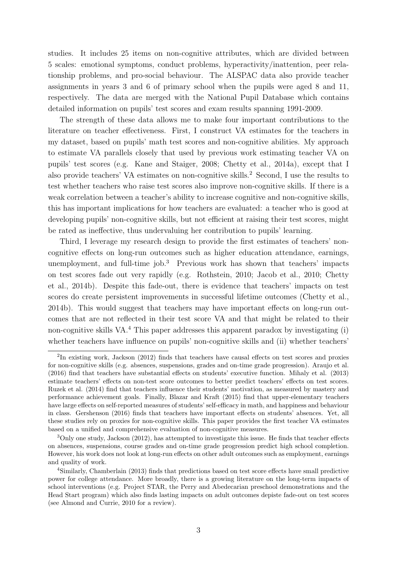studies. It includes 25 items on non-cognitive attributes, which are divided between 5 scales: emotional symptoms, conduct problems, hyperactivity/inattention, peer relationship problems, and pro-social behaviour. The ALSPAC data also provide teacher assignments in years 3 and 6 of primary school when the pupils were aged 8 and 11, respectively. The data are merged with the National Pupil Database which contains detailed information on pupils' test scores and exam results spanning 1991-2009.

The strength of these data allows me to make four important contributions to the literature on teacher effectiveness. First, I construct VA estimates for the teachers in my dataset, based on pupils' math test scores and non-cognitive abilities. My approach to estimate VA parallels closely that used by previous work estimating teacher VA on pupils' test scores (e.g. Kane and Staiger, 2008; Chetty et al., 2014a), except that I also provide teachers' VA estimates on non-cognitive skills.<sup>2</sup> Second, I use the results to test whether teachers who raise test scores also improve non-cognitive skills. If there is a weak correlation between a teacher's ability to increase cognitive and non-cognitive skills, this has important implications for how teachers are evaluated: a teacher who is good at developing pupils' non-cognitive skills, but not efficient at raising their test scores, might be rated as ineffective, thus undervaluing her contribution to pupils' learning.

Third, I leverage my research design to provide the first estimates of teachers' noncognitive effects on long-run outcomes such as higher education attendance, earnings, unemployment, and full-time job. $3$  Previous work has shown that teachers' impacts on test scores fade out very rapidly (e.g. Rothstein, 2010; Jacob et al., 2010; Chetty et al., 2014b). Despite this fade-out, there is evidence that teachers' impacts on test scores do create persistent improvements in successful lifetime outcomes (Chetty et al., 2014b). This would suggest that teachers may have important effects on long-run outcomes that are not reflected in their test score VA and that might be related to their non-cognitive skills VA.<sup>4</sup> This paper addresses this apparent paradox by investigating (i) whether teachers have influence on pupils' non-cognitive skills and (ii) whether teachers'

<sup>&</sup>lt;sup>2</sup>In existing work, Jackson (2012) finds that teachers have causal effects on test scores and proxies for non-cognitive skills (e.g. absences, suspensions, grades and on-time grade progression). Araujo et al. (2016) find that teachers have substantial effects on students' executive function. Mihaly et al. (2013) estimate teachers' effects on non-test score outcomes to better predict teachers' effects on test scores. Ruzek et al. (2014) find that teachers influence their students' motivation, as measured by mastery and performance achievement goals. Finally, Blazar and Kraft (2015) find that upper-elementary teachers have large effects on self-reported measures of students' self-efficacy in math, and happiness and behaviour in class. Gershenson (2016) finds that teachers have important effects on students' absences. Yet, all these studies rely on proxies for non-cognitive skills. This paper provides the first teacher VA estimates based on a unified and comprehensive evaluation of non-cognitive measures.

 $3$ Only one study, Jackson (2012), has attempted to investigate this issue. He finds that teacher effects on absences, suspensions, course grades and on-time grade progression predict high school completion. However, his work does not look at long-run effects on other adult outcomes such as employment, earnings and quality of work.

<sup>4</sup>Similarly, Chamberlain (2013) finds that predictions based on test score effects have small predictive power for college attendance. More broadly, there is a growing literature on the long-term impacts of school interventions (e.g. Project STAR, the Perry and Abedecarian preschool demonstrations and the Head Start program) which also finds lasting impacts on adult outcomes depiste fade-out on test scores (see Almond and Currie, 2010 for a review).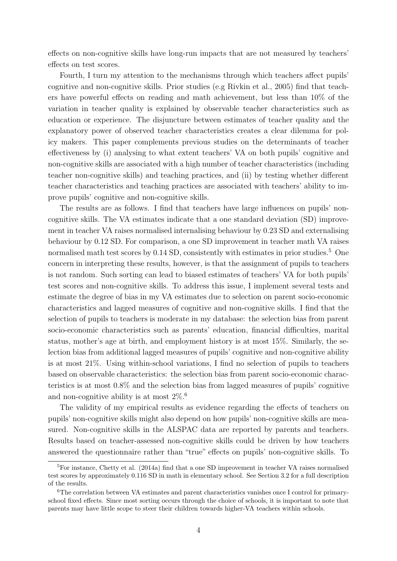effects on non-cognitive skills have long-run impacts that are not measured by teachers' effects on test scores.

Fourth, I turn my attention to the mechanisms through which teachers affect pupils' cognitive and non-cognitive skills. Prior studies (e.g Rivkin et al., 2005) find that teachers have powerful effects on reading and math achievement, but less than 10% of the variation in teacher quality is explained by observable teacher characteristics such as education or experience. The disjuncture between estimates of teacher quality and the explanatory power of observed teacher characteristics creates a clear dilemma for policy makers. This paper complements previous studies on the determinants of teacher effectiveness by (i) analysing to what extent teachers' VA on both pupils' cognitive and non-cognitive skills are associated with a high number of teacher characteristics (including teacher non-cognitive skills) and teaching practices, and (ii) by testing whether different teacher characteristics and teaching practices are associated with teachers' ability to improve pupils' cognitive and non-cognitive skills.

The results are as follows. I find that teachers have large influences on pupils' noncognitive skills. The VA estimates indicate that a one standard deviation (SD) improvement in teacher VA raises normalised internalising behaviour by 0.23 SD and externalising behaviour by 0.12 SD. For comparison, a one SD improvement in teacher math VA raises normalised math test scores by  $0.14$  SD, consistently with estimates in prior studies.<sup>5</sup> One concern in interpreting these results, however, is that the assignment of pupils to teachers is not random. Such sorting can lead to biased estimates of teachers' VA for both pupils' test scores and non-cognitive skills. To address this issue, I implement several tests and estimate the degree of bias in my VA estimates due to selection on parent socio-economic characteristics and lagged measures of cognitive and non-cognitive skills. I find that the selection of pupils to teachers is moderate in my database: the selection bias from parent socio-economic characteristics such as parents' education, financial difficulties, marital status, mother's age at birth, and employment history is at most 15%. Similarly, the selection bias from additional lagged measures of pupils' cognitive and non-cognitive ability is at most 21%. Using within-school variations, I find no selection of pupils to teachers based on observable characteristics: the selection bias from parent socio-economic characteristics is at most 0.8% and the selection bias from lagged measures of pupils' cognitive and non-cognitive ability is at most  $2\%$ .<sup>6</sup>

The validity of my empirical results as evidence regarding the effects of teachers on pupils' non-cognitive skills might also depend on how pupils' non-cognitive skills are measured. Non-cognitive skills in the ALSPAC data are reported by parents and teachers. Results based on teacher-assessed non-cognitive skills could be driven by how teachers answered the questionnaire rather than "true" effects on pupils' non-cognitive skills. To

<sup>&</sup>lt;sup>5</sup>For instance, Chetty et al. (2014a) find that a one SD improvement in teacher VA raises normalised test scores by approximately 0.116 SD in math in elementary school. See Section 3.2 for a full description of the results.

<sup>&</sup>lt;sup>6</sup>The correlation between VA estimates and parent characteristics vanishes once I control for primaryschool fixed effects. Since most sorting occurs through the choice of schools, it is important to note that parents may have little scope to steer their children towards higher-VA teachers within schools.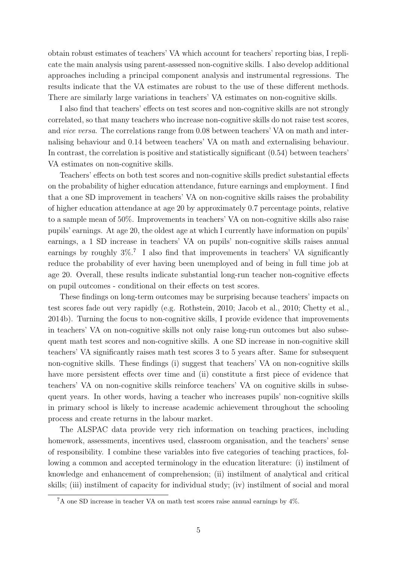obtain robust estimates of teachers' VA which account for teachers' reporting bias, I replicate the main analysis using parent-assessed non-cognitive skills. I also develop additional approaches including a principal component analysis and instrumental regressions. The results indicate that the VA estimates are robust to the use of these different methods. There are similarly large variations in teachers' VA estimates on non-cognitive skills.

I also find that teachers' effects on test scores and non-cognitive skills are not strongly correlated, so that many teachers who increase non-cognitive skills do not raise test scores, and vice versa. The correlations range from 0.08 between teachers' VA on math and internalising behaviour and 0.14 between teachers' VA on math and externalising behaviour. In contrast, the correlation is positive and statistically significant (0.54) between teachers' VA estimates on non-cognitive skills.

Teachers' effects on both test scores and non-cognitive skills predict substantial effects on the probability of higher education attendance, future earnings and employment. I find that a one SD improvement in teachers' VA on non-cognitive skills raises the probability of higher education attendance at age 20 by approximately 0.7 percentage points, relative to a sample mean of 50%. Improvements in teachers' VA on non-cognitive skills also raise pupils' earnings. At age 20, the oldest age at which I currently have information on pupils' earnings, a 1 SD increase in teachers' VA on pupils' non-cognitive skills raises annual earnings by roughly  $3\%$ .<sup>7</sup> I also find that improvements in teachers' VA significantly reduce the probability of ever having been unemployed and of being in full time job at age 20. Overall, these results indicate substantial long-run teacher non-cognitive effects on pupil outcomes - conditional on their effects on test scores.

These findings on long-term outcomes may be surprising because teachers' impacts on test scores fade out very rapidly (e.g. Rothstein, 2010; Jacob et al., 2010; Chetty et al., 2014b). Turning the focus to non-cognitive skills, I provide evidence that improvements in teachers' VA on non-cognitive skills not only raise long-run outcomes but also subsequent math test scores and non-cognitive skills. A one SD increase in non-cognitive skill teachers' VA significantly raises math test scores 3 to 5 years after. Same for subsequent non-cognitive skills. These findings (i) suggest that teachers' VA on non-cognitive skills have more persistent effects over time and (ii) constitute a first piece of evidence that teachers' VA on non-cognitive skills reinforce teachers' VA on cognitive skills in subsequent years. In other words, having a teacher who increases pupils' non-cognitive skills in primary school is likely to increase academic achievement throughout the schooling process and create returns in the labour market.

The ALSPAC data provide very rich information on teaching practices, including homework, assessments, incentives used, classroom organisation, and the teachers' sense of responsibility. I combine these variables into five categories of teaching practices, following a common and accepted terminology in the education literature: (i) instilment of knowledge and enhancement of comprehension; (ii) instilment of analytical and critical skills; (iii) instilment of capacity for individual study; (iv) instilment of social and moral

 ${}^{7}$ A one SD increase in teacher VA on math test scores raise annual earnings by  $4\%$ .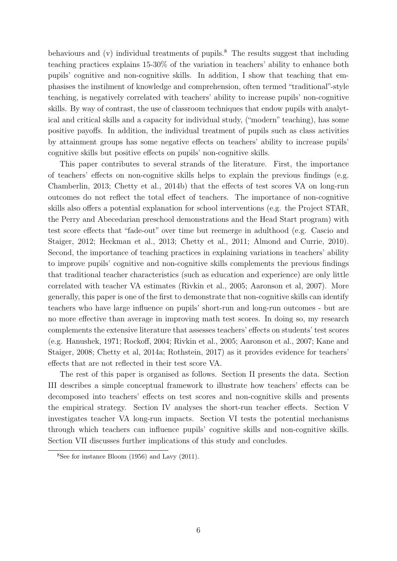behaviours and  $(v)$  individual treatments of pupils.<sup>8</sup> The results suggest that including teaching practices explains 15-30% of the variation in teachers' ability to enhance both pupils' cognitive and non-cognitive skills. In addition, I show that teaching that emphasises the instilment of knowledge and comprehension, often termed "traditional"-style teaching, is negatively correlated with teachers' ability to increase pupils' non-cognitive skills. By way of contrast, the use of classroom techniques that endow pupils with analytical and critical skills and a capacity for individual study, ("modern" teaching), has some positive payoffs. In addition, the individual treatment of pupils such as class activities by attainment groups has some negative effects on teachers' ability to increase pupils' cognitive skills but positive effects on pupils' non-cognitive skills.

This paper contributes to several strands of the literature. First, the importance of teachers' effects on non-cognitive skills helps to explain the previous findings (e.g. Chamberlin, 2013; Chetty et al., 2014b) that the effects of test scores VA on long-run outcomes do not reflect the total effect of teachers. The importance of non-cognitive skills also offers a potential explanation for school interventions (e.g. the Project STAR, the Perry and Abecedarian preschool demonstrations and the Head Start program) with test score effects that "fade-out" over time but reemerge in adulthood (e.g. Cascio and Staiger, 2012; Heckman et al., 2013; Chetty et al., 2011; Almond and Currie, 2010). Second, the importance of teaching practices in explaining variations in teachers' ability to improve pupils' cognitive and non-cognitive skills complements the previous findings that traditional teacher characteristics (such as education and experience) are only little correlated with teacher VA estimates (Rivkin et al., 2005; Aaronson et al, 2007). More generally, this paper is one of the first to demonstrate that non-cognitive skills can identify teachers who have large influence on pupils' short-run and long-run outcomes - but are no more effective than average in improving math test scores. In doing so, my research complements the extensive literature that assesses teachers' effects on students' test scores (e.g. Hanushek, 1971; Rockoff, 2004; Rivkin et al., 2005; Aaronson et al., 2007; Kane and Staiger, 2008; Chetty et al, 2014a; Rothstein, 2017) as it provides evidence for teachers' effects that are not reflected in their test score VA.

The rest of this paper is organised as follows. Section II presents the data. Section III describes a simple conceptual framework to illustrate how teachers' effects can be decomposed into teachers' effects on test scores and non-cognitive skills and presents the empirical strategy. Section IV analyses the short-run teacher effects. Section V investigates teacher VA long-run impacts. Section VI tests the potential mechanisms through which teachers can influence pupils' cognitive skills and non-cognitive skills. Section VII discusses further implications of this study and concludes.

 $8$ See for instance Bloom (1956) and Lavy (2011).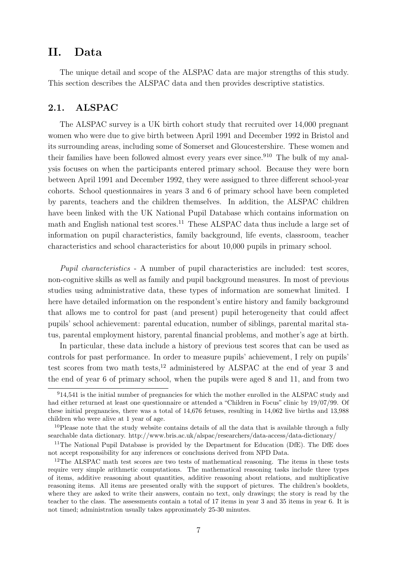# II. Data

The unique detail and scope of the ALSPAC data are major strengths of this study. This section describes the ALSPAC data and then provides descriptive statistics.

### 2.1. ALSPAC

The ALSPAC survey is a UK birth cohort study that recruited over 14,000 pregnant women who were due to give birth between April 1991 and December 1992 in Bristol and its surrounding areas, including some of Somerset and Gloucestershire. These women and their families have been followed almost every years ever since.<sup>910</sup> The bulk of my analysis focuses on when the participants entered primary school. Because they were born between April 1991 and December 1992, they were assigned to three different school-year cohorts. School questionnaires in years 3 and 6 of primary school have been completed by parents, teachers and the children themselves. In addition, the ALSPAC children have been linked with the UK National Pupil Database which contains information on math and English national test scores.<sup>11</sup> These ALSPAC data thus include a large set of information on pupil characteristics, family background, life events, classroom, teacher characteristics and school characteristics for about 10,000 pupils in primary school.

Pupil characteristics - A number of pupil characteristics are included: test scores, non-cognitive skills as well as family and pupil background measures. In most of previous studies using administrative data, these types of information are somewhat limited. I here have detailed information on the respondent's entire history and family background that allows me to control for past (and present) pupil heterogeneity that could affect pupils' school achievement: parental education, number of siblings, parental marital status, parental employment history, parental financial problems, and mother's age at birth.

In particular, these data include a history of previous test scores that can be used as controls for past performance. In order to measure pupils' achievement, I rely on pupils' test scores from two math tests,<sup>12</sup> administered by ALSPAC at the end of year 3 and the end of year 6 of primary school, when the pupils were aged 8 and 11, and from two

<sup>&</sup>lt;sup>9</sup>14,541 is the initial number of pregnancies for which the mother enrolled in the ALSPAC study and had either returned at least one questionnaire or attended a "Children in Focus" clinic by 19/07/99. Of these initial pregnancies, there was a total of 14,676 fetuses, resulting in 14,062 live births and 13,988 children who were alive at 1 year of age.

<sup>&</sup>lt;sup>10</sup>Please note that the study website contains details of all the data that is available through a fully searchable data dictionary. http://www.bris.ac.uk/alspac/researchers/data-access/data-dictionary/

<sup>&</sup>lt;sup>11</sup>The National Pupil Database is provided by the Department for Education (DfE). The DfE does not accept responsibility for any inferences or conclusions derived from NPD Data.

<sup>&</sup>lt;sup>12</sup>The ALSPAC math test scores are two tests of mathematical reasoning. The items in these tests require very simple arithmetic computations. The mathematical reasoning tasks include three types of items, additive reasoning about quantities, additive reasoning about relations, and multiplicative reasoning items. All items are presented orally with the support of pictures. The children's booklets, where they are asked to write their answers, contain no text, only drawings; the story is read by the teacher to the class. The assessments contain a total of 17 items in year 3 and 35 items in year 6. It is not timed; administration usually takes approximately 25-30 minutes.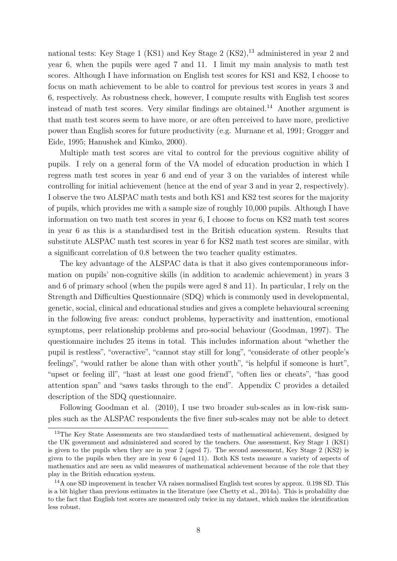national tests: Key Stage 1 (KS1) and Key Stage 2 (KS2), $^{13}$  administered in year 2 and year 6, when the pupils were aged 7 and 11. I limit my main analysis to math test scores. Although I have information on English test scores for KS1 and KS2, I choose to focus on math achievement to be able to control for previous test scores in years 3 and 6, respectively. As robustness check, however, I compute results with English test scores instead of math test scores. Very similar findings are obtained.<sup>14</sup> Another argument is that math test scores seem to have more, or are often perceived to have more, predictive power than English scores for future productivity (e.g. Murnane et al, 1991; Grogger and Eide, 1995; Hanushek and Kimko, 2000).

Multiple math test scores are vital to control for the previous cognitive ability of pupils. I rely on a general form of the VA model of education production in which I regress math test scores in year 6 and end of year 3 on the variables of interest while controlling for initial achievement (hence at the end of year 3 and in year 2, respectively). I observe the two ALSPAC math tests and both KS1 and KS2 test scores for the majority of pupils, which provides me with a sample size of roughly 10,000 pupils. Although I have information on two math test scores in year 6, I choose to focus on KS2 math test scores in year 6 as this is a standardised test in the British education system. Results that substitute ALSPAC math test scores in year 6 for KS2 math test scores are similar, with a significant correlation of 0.8 between the two teacher quality estimates.

The key advantage of the ALSPAC data is that it also gives contemporaneous information on pupils' non-cognitive skills (in addition to academic achievement) in years 3 and 6 of primary school (when the pupils were aged 8 and 11). In particular, I rely on the Strength and Difficulties Questionnaire (SDQ) which is commonly used in developmental, genetic, social, clinical and educational studies and gives a complete behavioural screening in the following five areas: conduct problems, hyperactivity and inattention, emotional symptoms, peer relationship problems and pro-social behaviour (Goodman, 1997). The questionnaire includes 25 items in total. This includes information about "whether the pupil is restless", "overactive", "cannot stay still for long", "considerate of other people's feelings", "would rather be alone than with other youth", "is helpful if someone is hurt", "upset or feeling ill", "hast at least one good friend", "often lies or cheats", "has good attention span" and "saws tasks through to the end". Appendix C provides a detailed description of the SDQ questionnaire.

Following Goodman et al. (2010), I use two broader sub-scales as in low-risk samples such as the ALSPAC respondents the five finer sub-scales may not be able to detect

<sup>&</sup>lt;sup>13</sup>The Key State Assessments are two standardised tests of mathematical achievement, designed by the UK government and administered and scored by the teachers. One assessment, Key Stage 1 (KS1) is given to the pupils when they are in year 2 (aged 7). The second assessment, Key Stage 2 (KS2) is given to the pupils when they are in year 6 (aged 11). Both KS tests measure a variety of aspects of mathematics and are seen as valid measures of mathematical achievement because of the role that they play in the British education system.

<sup>14</sup>A one SD improvement in teacher VA raises normalised English test scores by approx. 0.198 SD. This is a bit higher than previous estimates in the literature (see Chetty et al., 2014a). This is probability due to the fact that English test scores are measured only twice in my dataset, which makes the identification less robust.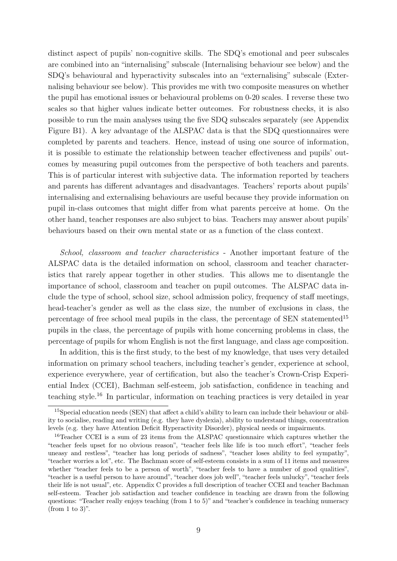distinct aspect of pupils' non-cognitive skills. The SDQ's emotional and peer subscales are combined into an "internalising" subscale (Internalising behaviour see below) and the SDQ's behavioural and hyperactivity subscales into an "externalising" subscale (Externalising behaviour see below). This provides me with two composite measures on whether the pupil has emotional issues or behavioural problems on 0-20 scales. I reverse these two scales so that higher values indicate better outcomes. For robustness checks, it is also possible to run the main analyses using the five SDQ subscales separately (see Appendix Figure B1). A key advantage of the ALSPAC data is that the SDQ questionnaires were completed by parents and teachers. Hence, instead of using one source of information, it is possible to estimate the relationship between teacher effectiveness and pupils' outcomes by measuring pupil outcomes from the perspective of both teachers and parents. This is of particular interest with subjective data. The information reported by teachers and parents has different advantages and disadvantages. Teachers' reports about pupils' internalising and externalising behaviours are useful because they provide information on pupil in-class outcomes that might differ from what parents perceive at home. On the other hand, teacher responses are also subject to bias. Teachers may answer about pupils' behaviours based on their own mental state or as a function of the class context.

School, classroom and teacher characteristics - Another important feature of the ALSPAC data is the detailed information on school, classroom and teacher characteristics that rarely appear together in other studies. This allows me to disentangle the importance of school, classroom and teacher on pupil outcomes. The ALSPAC data include the type of school, school size, school admission policy, frequency of staff meetings, head-teacher's gender as well as the class size, the number of exclusions in class, the percentage of free school meal pupils in the class, the percentage of SEN statemented<sup>15</sup> pupils in the class, the percentage of pupils with home concerning problems in class, the percentage of pupils for whom English is not the first language, and class age composition.

In addition, this is the first study, to the best of my knowledge, that uses very detailed information on primary school teachers, including teacher's gender, experience at school, experience everywhere, year of certification, but also the teacher's Crown-Crisp Experiential Index (CCEI), Bachman self-esteem, job satisfaction, confidence in teaching and teaching style.<sup>16</sup> In particular, information on teaching practices is very detailed in year

<sup>15</sup>Special education needs (SEN) that affect a child's ability to learn can include their behaviour or ability to socialise, reading and writing (e.g. they have dyslexia), ability to understand things, concentration levels (e.g. they have Attention Deficit Hyperactivity Disorder), physical needs or impairments.

<sup>&</sup>lt;sup>16</sup>Teacher CCEI is a sum of 23 items from the ALSPAC questionnaire which captures whether the "teacher feels upset for no obvious reason", "teacher feels like life is too much effort", "teacher feels uneasy and restless", "teacher has long periods of sadness", "teacher loses ability to feel sympathy", "teacher worries a lot", etc. The Bachman score of self-esteem consists in a sum of 11 items and measures whether "teacher feels to be a person of worth", "teacher feels to have a number of good qualities", "teacher is a useful person to have around", "teacher does job well", "teacher feels unlucky", "teacher feels their life is not usual", etc. Appendix C provides a full description of teacher CCEI and teacher Bachman self-esteem. Teacher job satisfaction and teacher confidence in teaching are drawn from the following questions: "Teacher really enjoys teaching (from 1 to 5)" and "teacher's confidence in teaching numeracy (from 1 to 3)".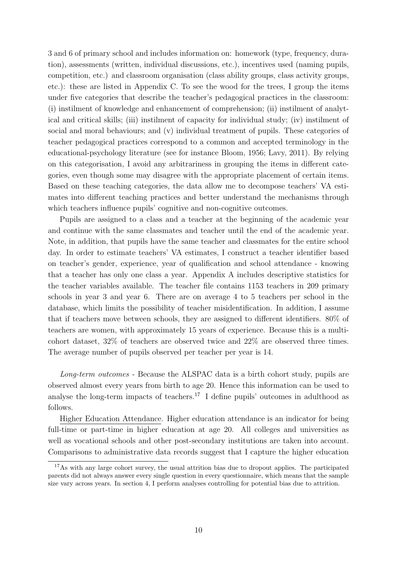3 and 6 of primary school and includes information on: homework (type, frequency, duration), assessments (written, individual discussions, etc.), incentives used (naming pupils, competition, etc.) and classroom organisation (class ability groups, class activity groups, etc.): these are listed in Appendix C. To see the wood for the trees, I group the items under five categories that describe the teacher's pedagogical practices in the classroom: (i) instilment of knowledge and enhancement of comprehension; (ii) instilment of analytical and critical skills; (iii) instilment of capacity for individual study; (iv) instilment of social and moral behaviours; and (v) individual treatment of pupils. These categories of teacher pedagogical practices correspond to a common and accepted terminology in the educational-psychology literature (see for instance Bloom, 1956; Lavy, 2011). By relying on this categorisation, I avoid any arbitrariness in grouping the items in different categories, even though some may disagree with the appropriate placement of certain items. Based on these teaching categories, the data allow me to decompose teachers' VA estimates into different teaching practices and better understand the mechanisms through which teachers influence pupils' cognitive and non-cognitive outcomes.

Pupils are assigned to a class and a teacher at the beginning of the academic year and continue with the same classmates and teacher until the end of the academic year. Note, in addition, that pupils have the same teacher and classmates for the entire school day. In order to estimate teachers' VA estimates, I construct a teacher identifier based on teacher's gender, experience, year of qualification and school attendance - knowing that a teacher has only one class a year. Appendix A includes descriptive statistics for the teacher variables available. The teacher file contains 1153 teachers in 209 primary schools in year 3 and year 6. There are on average 4 to 5 teachers per school in the database, which limits the possibility of teacher misidentification. In addition, I assume that if teachers move between schools, they are assigned to different identifiers. 80% of teachers are women, with approximately 15 years of experience. Because this is a multicohort dataset, 32% of teachers are observed twice and 22% are observed three times. The average number of pupils observed per teacher per year is 14.

Long-term outcomes - Because the ALSPAC data is a birth cohort study, pupils are observed almost every years from birth to age 20. Hence this information can be used to analyse the long-term impacts of teachers.<sup>17</sup> I define pupils' outcomes in adulthood as follows.

Higher Education Attendance. Higher education attendance is an indicator for being full-time or part-time in higher education at age 20. All colleges and universities as well as vocational schools and other post-secondary institutions are taken into account. Comparisons to administrative data records suggest that I capture the higher education

<sup>&</sup>lt;sup>17</sup>As with any large cohort survey, the usual attrition bias due to dropout applies. The participated parents did not always answer every single question in every questionnaire, which means that the sample size vary across years. In section 4, I perform analyses controlling for potential bias due to attrition.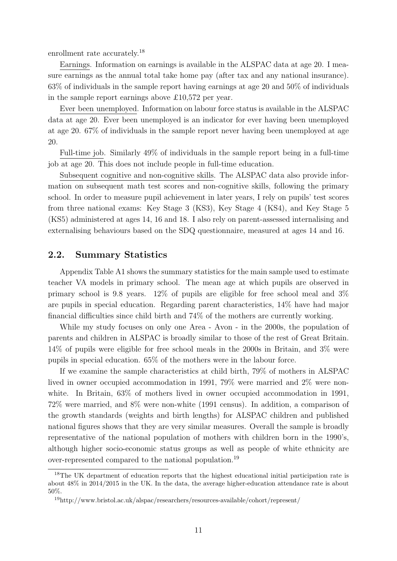enrollment rate accurately.<sup>18</sup>

Earnings. Information on earnings is available in the ALSPAC data at age 20. I measure earnings as the annual total take home pay (after tax and any national insurance). 63% of individuals in the sample report having earnings at age 20 and 50% of individuals in the sample report earnings above £10,572 per year.

Ever been unemployed. Information on labour force status is available in the ALSPAC data at age 20. Ever been unemployed is an indicator for ever having been unemployed at age 20. 67% of individuals in the sample report never having been unemployed at age 20.

Full-time job. Similarly 49% of individuals in the sample report being in a full-time job at age 20. This does not include people in full-time education.

Subsequent cognitive and non-cognitive skills. The ALSPAC data also provide information on subsequent math test scores and non-cognitive skills, following the primary school. In order to measure pupil achievement in later years, I rely on pupils' test scores from three national exams: Key Stage 3 (KS3), Key Stage 4 (KS4), and Key Stage 5 (KS5) administered at ages 14, 16 and 18. I also rely on parent-assessed internalising and externalising behaviours based on the SDQ questionnaire, measured at ages 14 and 16.

### 2.2. Summary Statistics

Appendix Table A1 shows the summary statistics for the main sample used to estimate teacher VA models in primary school. The mean age at which pupils are observed in primary school is 9.8 years. 12% of pupils are eligible for free school meal and 3% are pupils in special education. Regarding parent characteristics, 14% have had major financial difficulties since child birth and 74% of the mothers are currently working.

While my study focuses on only one Area - Avon - in the 2000s, the population of parents and children in ALSPAC is broadly similar to those of the rest of Great Britain. 14% of pupils were eligible for free school meals in the 2000s in Britain, and 3% were pupils in special education. 65% of the mothers were in the labour force.

If we examine the sample characteristics at child birth, 79% of mothers in ALSPAC lived in owner occupied accommodation in 1991, 79% were married and 2% were nonwhite. In Britain,  $63\%$  of mothers lived in owner occupied accommodation in 1991, 72% were married, and 8% were non-white (1991 census). In addition, a comparison of the growth standards (weights and birth lengths) for ALSPAC children and published national figures shows that they are very similar measures. Overall the sample is broadly representative of the national population of mothers with children born in the 1990's, although higher socio-economic status groups as well as people of white ethnicity are over-represented compared to the national population.<sup>19</sup>

<sup>&</sup>lt;sup>18</sup>The UK department of education reports that the highest educational initial participation rate is about 48% in 2014/2015 in the UK. In the data, the average higher-education attendance rate is about 50%.

<sup>19</sup>http://www.bristol.ac.uk/alspac/researchers/resources-available/cohort/represent/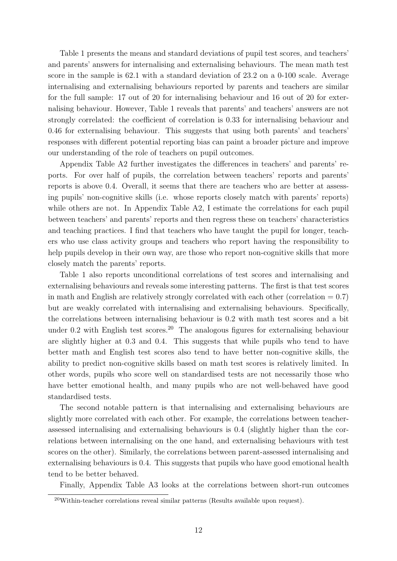Table 1 presents the means and standard deviations of pupil test scores, and teachers' and parents' answers for internalising and externalising behaviours. The mean math test score in the sample is 62.1 with a standard deviation of 23.2 on a 0-100 scale. Average internalising and externalising behaviours reported by parents and teachers are similar for the full sample: 17 out of 20 for internalising behaviour and 16 out of 20 for externalising behaviour. However, Table 1 reveals that parents' and teachers' answers are not strongly correlated: the coefficient of correlation is 0.33 for internalising behaviour and 0.46 for externalising behaviour. This suggests that using both parents' and teachers' responses with different potential reporting bias can paint a broader picture and improve our understanding of the role of teachers on pupil outcomes.

Appendix Table A2 further investigates the differences in teachers' and parents' reports. For over half of pupils, the correlation between teachers' reports and parents' reports is above 0.4. Overall, it seems that there are teachers who are better at assessing pupils' non-cognitive skills (i.e. whose reports closely match with parents' reports) while others are not. In Appendix Table A2, I estimate the correlations for each pupil between teachers' and parents' reports and then regress these on teachers' characteristics and teaching practices. I find that teachers who have taught the pupil for longer, teachers who use class activity groups and teachers who report having the responsibility to help pupils develop in their own way, are those who report non-cognitive skills that more closely match the parents' reports.

Table 1 also reports unconditional correlations of test scores and internalising and externalising behaviours and reveals some interesting patterns. The first is that test scores in math and English are relatively strongly correlated with each other (correlation  $= 0.7$ ) but are weakly correlated with internalising and externalising behaviours. Specifically, the correlations between internalising behaviour is 0.2 with math test scores and a bit under 0.2 with English test scores.<sup>20</sup> The analogous figures for externalising behaviour are slightly higher at 0.3 and 0.4. This suggests that while pupils who tend to have better math and English test scores also tend to have better non-cognitive skills, the ability to predict non-cognitive skills based on math test scores is relatively limited. In other words, pupils who score well on standardised tests are not necessarily those who have better emotional health, and many pupils who are not well-behaved have good standardised tests.

The second notable pattern is that internalising and externalising behaviours are slightly more correlated with each other. For example, the correlations between teacherassessed internalising and externalising behaviours is 0.4 (slightly higher than the correlations between internalising on the one hand, and externalising behaviours with test scores on the other). Similarly, the correlations between parent-assessed internalising and externalising behaviours is 0.4. This suggests that pupils who have good emotional health tend to be better behaved.

Finally, Appendix Table A3 looks at the correlations between short-run outcomes

 $20$ Within-teacher correlations reveal similar patterns (Results available upon request).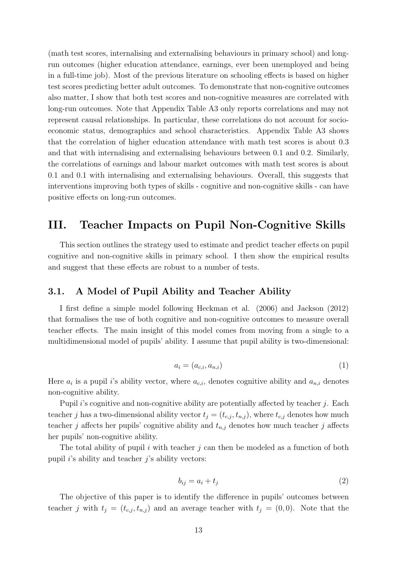(math test scores, internalising and externalising behaviours in primary school) and longrun outcomes (higher education attendance, earnings, ever been unemployed and being in a full-time job). Most of the previous literature on schooling effects is based on higher test scores predicting better adult outcomes. To demonstrate that non-cognitive outcomes also matter, I show that both test scores and non-cognitive measures are correlated with long-run outcomes. Note that Appendix Table A3 only reports correlations and may not represent causal relationships. In particular, these correlations do not account for socioeconomic status, demographics and school characteristics. Appendix Table A3 shows that the correlation of higher education attendance with math test scores is about 0.3 and that with internalising and externalising behaviours between 0.1 and 0.2. Similarly, the correlations of earnings and labour market outcomes with math test scores is about 0.1 and 0.1 with internalising and externalising behaviours. Overall, this suggests that interventions improving both types of skills - cognitive and non-cognitive skills - can have positive effects on long-run outcomes.

# III. Teacher Impacts on Pupil Non-Cognitive Skills

This section outlines the strategy used to estimate and predict teacher effects on pupil cognitive and non-cognitive skills in primary school. I then show the empirical results and suggest that these effects are robust to a number of tests.

## 3.1. A Model of Pupil Ability and Teacher Ability

I first define a simple model following Heckman et al. (2006) and Jackson (2012) that formalises the use of both cognitive and non-cognitive outcomes to measure overall teacher effects. The main insight of this model comes from moving from a single to a multidimensional model of pupils' ability. I assume that pupil ability is two-dimensional:

$$
a_i = (a_{c,i}, a_{n,i})
$$
\n<sup>(1)</sup>

Here  $a_i$  is a pupil i's ability vector, where  $a_{c,i}$ , denotes cognitive ability and  $a_{n,i}$  denotes non-cognitive ability.

Pupil i's cognitive and non-cognitive ability are potentially affected by teacher j. Each teacher j has a two-dimensional ability vector  $t_j = (t_{c,j}, t_{n,j})$ , where  $t_{c,j}$  denotes how much teacher j affects her pupils' cognitive ability and  $t_{n,j}$  denotes how much teacher j affects her pupils' non-cognitive ability.

The total ability of pupil i with teacher  $j$  can then be modeled as a function of both pupil  $i$ 's ability and teacher  $j$ 's ability vectors:

$$
b_{ij} = a_i + t_j \tag{2}
$$

The objective of this paper is to identify the difference in pupils' outcomes between teacher j with  $t_j = (t_{c,j}, t_{n,j})$  and an average teacher with  $t_j = (0, 0)$ . Note that the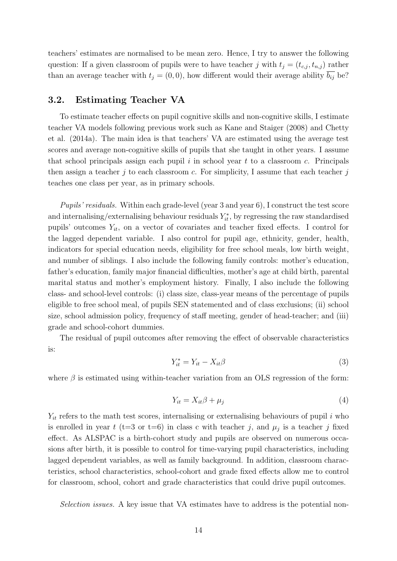teachers' estimates are normalised to be mean zero. Hence, I try to answer the following question: If a given classroom of pupils were to have teacher j with  $t_j = (t_{c,j}, t_{n,j})$  rather than an average teacher with  $t_j = (0, 0)$ , how different would their average ability  $\overline{b_{ij}}$  be?

## 3.2. Estimating Teacher VA

To estimate teacher effects on pupil cognitive skills and non-cognitive skills, I estimate teacher VA models following previous work such as Kane and Staiger (2008) and Chetty et al. (2014a). The main idea is that teachers' VA are estimated using the average test scores and average non-cognitive skills of pupils that she taught in other years. I assume that school principals assign each pupil  $i$  in school year  $t$  to a classroom  $c$ . Principals then assign a teacher  $j$  to each classroom c. For simplicity, I assume that each teacher  $j$ teaches one class per year, as in primary schools.

Pupils' residuals. Within each grade-level (year 3 and year 6), I construct the test score and internalising/externalising behaviour residuals  $Y_{it}^*$ , by regressing the raw standardised pupils' outcomes  $Y_{it}$ , on a vector of covariates and teacher fixed effects. I control for the lagged dependent variable. I also control for pupil age, ethnicity, gender, health, indicators for special education needs, eligibility for free school meals, low birth weight, and number of siblings. I also include the following family controls: mother's education, father's education, family major financial difficulties, mother's age at child birth, parental marital status and mother's employment history. Finally, I also include the following class- and school-level controls: (i) class size, class-year means of the percentage of pupils eligible to free school meal, of pupils SEN statemented and of class exclusions; (ii) school size, school admission policy, frequency of staff meeting, gender of head-teacher; and (iii) grade and school-cohort dummies.

The residual of pupil outcomes after removing the effect of observable characteristics is:

$$
Y_{it}^* = Y_{it} - X_{it}\beta
$$
\n<sup>(3)</sup>

where  $\beta$  is estimated using within-teacher variation from an OLS regression of the form:

$$
Y_{it} = X_{it}\beta + \mu_j \tag{4}
$$

 $Y_{it}$  refers to the math test scores, internalising or externalising behaviours of pupil i who is enrolled in year t (t=3 or t=6) in class c with teacher j, and  $\mu_j$  is a teacher j fixed effect. As ALSPAC is a birth-cohort study and pupils are observed on numerous occasions after birth, it is possible to control for time-varying pupil characteristics, including lagged dependent variables, as well as family background. In addition, classroom characteristics, school characteristics, school-cohort and grade fixed effects allow me to control for classroom, school, cohort and grade characteristics that could drive pupil outcomes.

Selection issues. A key issue that VA estimates have to address is the potential non-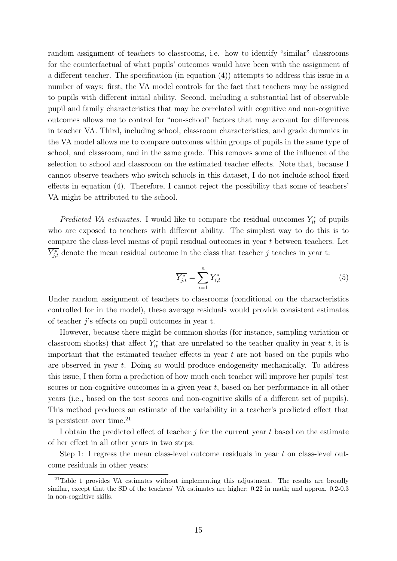random assignment of teachers to classrooms, i.e. how to identify "similar" classrooms for the counterfactual of what pupils' outcomes would have been with the assignment of a different teacher. The specification (in equation (4)) attempts to address this issue in a number of ways: first, the VA model controls for the fact that teachers may be assigned to pupils with different initial ability. Second, including a substantial list of observable pupil and family characteristics that may be correlated with cognitive and non-cognitive outcomes allows me to control for "non-school" factors that may account for differences in teacher VA. Third, including school, classroom characteristics, and grade dummies in the VA model allows me to compare outcomes within groups of pupils in the same type of school, and classroom, and in the same grade. This removes some of the influence of the selection to school and classroom on the estimated teacher effects. Note that, because I cannot observe teachers who switch schools in this dataset, I do not include school fixed effects in equation (4). Therefore, I cannot reject the possibility that some of teachers' VA might be attributed to the school.

*Predicted VA estimates.* I would like to compare the residual outcomes  $Y_{it}^*$  of pupils who are exposed to teachers with different ability. The simplest way to do this is to compare the class-level means of pupil residual outcomes in year t between teachers. Let  $\overline{Y_{j,t}^*}$  denote the mean residual outcome in the class that teacher j teaches in year t:

$$
\overline{Y_{j,t}^*} = \sum_{i=1}^n Y_{i,t}^* \tag{5}
$$

Under random assignment of teachers to classrooms (conditional on the characteristics controlled for in the model), these average residuals would provide consistent estimates of teacher j's effects on pupil outcomes in year t.

However, because there might be common shocks (for instance, sampling variation or classroom shocks) that affect  $Y_{it}^*$  that are unrelated to the teacher quality in year t, it is important that the estimated teacher effects in year  $t$  are not based on the pupils who are observed in year t. Doing so would produce endogeneity mechanically. To address this issue, I then form a prediction of how much each teacher will improve her pupils' test scores or non-cognitive outcomes in a given year  $t$ , based on her performance in all other years (i.e., based on the test scores and non-cognitive skills of a different set of pupils). This method produces an estimate of the variability in a teacher's predicted effect that is persistent over time. $^{21}$ 

I obtain the predicted effect of teacher  $j$  for the current year  $t$  based on the estimate of her effect in all other years in two steps:

Step 1: I regress the mean class-level outcome residuals in year t on class-level outcome residuals in other years:

<sup>&</sup>lt;sup>21</sup>Table 1 provides VA estimates without implementing this adjustment. The results are broadly similar, except that the SD of the teachers' VA estimates are higher: 0.22 in math; and approx. 0.2-0.3 in non-cognitive skills.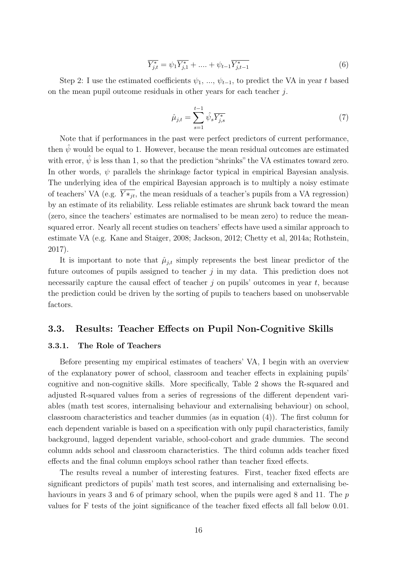$$
\overline{Y_{j,t}^*} = \psi_1 \overline{Y_{j,1}^*} + \dots + \psi_{t-1} \overline{Y_{j,t-1}^*}
$$
\n(6)

Step 2: I use the estimated coefficients  $\psi_1, ..., \psi_{t-1}$ , to predict the VA in year t based on the mean pupil outcome residuals in other years for each teacher j.

$$
\hat{\mu}_{j,t} = \sum_{s=1}^{t-1} \hat{\psi}_s \overline{Y_{j,s}^*}
$$
\n(7)

Note that if performances in the past were perfect predictors of current performance, then  $\hat{\psi}$  would be equal to 1. However, because the mean residual outcomes are estimated with error,  $\hat{\psi}$  is less than 1, so that the prediction "shrinks" the VA estimates toward zero. In other words,  $\psi$  parallels the shrinkage factor typical in empirical Bayesian analysis. The underlying idea of the empirical Bayesian approach is to multiply a noisy estimate of teachers' VA (e.g.  $Y*_j$ , the mean residuals of a teacher's pupils from a VA regression) by an estimate of its reliability. Less reliable estimates are shrunk back toward the mean (zero, since the teachers' estimates are normalised to be mean zero) to reduce the meansquared error. Nearly all recent studies on teachers' effects have used a similar approach to estimate VA (e.g. Kane and Staiger, 2008; Jackson, 2012; Chetty et al, 2014a; Rothstein, 2017).

It is important to note that  $\hat{\mu}_{j,t}$  simply represents the best linear predictor of the future outcomes of pupils assigned to teacher  $j$  in my data. This prediction does not necessarily capture the causal effect of teacher  $j$  on pupils' outcomes in year  $t$ , because the prediction could be driven by the sorting of pupils to teachers based on unobservable factors.

### 3.3. Results: Teacher Effects on Pupil Non-Cognitive Skills

#### 3.3.1. The Role of Teachers

Before presenting my empirical estimates of teachers' VA, I begin with an overview of the explanatory power of school, classroom and teacher effects in explaining pupils' cognitive and non-cognitive skills. More specifically, Table 2 shows the R-squared and adjusted R-squared values from a series of regressions of the different dependent variables (math test scores, internalising behaviour and externalising behaviour) on school, classroom characteristics and teacher dummies (as in equation (4)). The first column for each dependent variable is based on a specification with only pupil characteristics, family background, lagged dependent variable, school-cohort and grade dummies. The second column adds school and classroom characteristics. The third column adds teacher fixed effects and the final column employs school rather than teacher fixed effects.

The results reveal a number of interesting features. First, teacher fixed effects are significant predictors of pupils' math test scores, and internalising and externalising behaviours in years 3 and 6 of primary school, when the pupils were aged 8 and 11. The p values for F tests of the joint significance of the teacher fixed effects all fall below 0.01.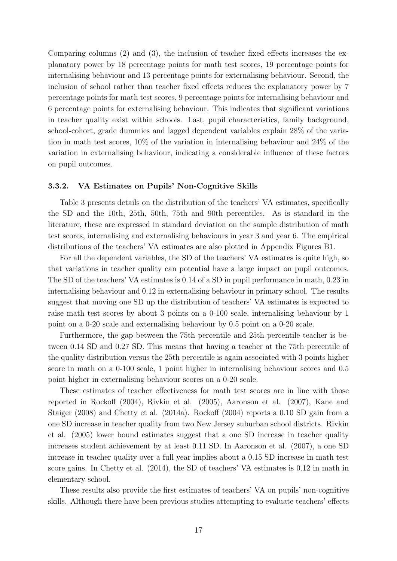Comparing columns (2) and (3), the inclusion of teacher fixed effects increases the explanatory power by 18 percentage points for math test scores, 19 percentage points for internalising behaviour and 13 percentage points for externalising behaviour. Second, the inclusion of school rather than teacher fixed effects reduces the explanatory power by 7 percentage points for math test scores, 9 percentage points for internalising behaviour and 6 percentage points for externalising behaviour. This indicates that significant variations in teacher quality exist within schools. Last, pupil characteristics, family background, school-cohort, grade dummies and lagged dependent variables explain 28% of the variation in math test scores, 10% of the variation in internalising behaviour and 24% of the variation in externalising behaviour, indicating a considerable influence of these factors on pupil outcomes.

#### 3.3.2. VA Estimates on Pupils' Non-Cognitive Skills

Table 3 presents details on the distribution of the teachers' VA estimates, specifically the SD and the 10th, 25th, 50th, 75th and 90th percentiles. As is standard in the literature, these are expressed in standard deviation on the sample distribution of math test scores, internalising and externalising behaviours in year 3 and year 6. The empirical distributions of the teachers' VA estimates are also plotted in Appendix Figures B1.

For all the dependent variables, the SD of the teachers' VA estimates is quite high, so that variations in teacher quality can potential have a large impact on pupil outcomes. The SD of the teachers' VA estimates is 0.14 of a SD in pupil performance in math, 0.23 in internalising behaviour and 0.12 in externalising behaviour in primary school. The results suggest that moving one SD up the distribution of teachers' VA estimates is expected to raise math test scores by about 3 points on a 0-100 scale, internalising behaviour by 1 point on a 0-20 scale and externalising behaviour by 0.5 point on a 0-20 scale.

Furthermore, the gap between the 75th percentile and 25th percentile teacher is between 0.14 SD and 0.27 SD. This means that having a teacher at the 75th percentile of the quality distribution versus the 25th percentile is again associated with 3 points higher score in math on a 0-100 scale, 1 point higher in internalising behaviour scores and 0.5 point higher in externalising behaviour scores on a 0-20 scale.

These estimates of teacher effectiveness for math test scores are in line with those reported in Rockoff (2004), Rivkin et al. (2005), Aaronson et al. (2007), Kane and Staiger (2008) and Chetty et al. (2014a). Rockoff (2004) reports a 0.10 SD gain from a one SD increase in teacher quality from two New Jersey suburban school districts. Rivkin et al. (2005) lower bound estimates suggest that a one SD increase in teacher quality increases student achievement by at least 0.11 SD. In Aaronson et al. (2007), a one SD increase in teacher quality over a full year implies about a 0.15 SD increase in math test score gains. In Chetty et al. (2014), the SD of teachers' VA estimates is 0.12 in math in elementary school.

These results also provide the first estimates of teachers' VA on pupils' non-cognitive skills. Although there have been previous studies attempting to evaluate teachers' effects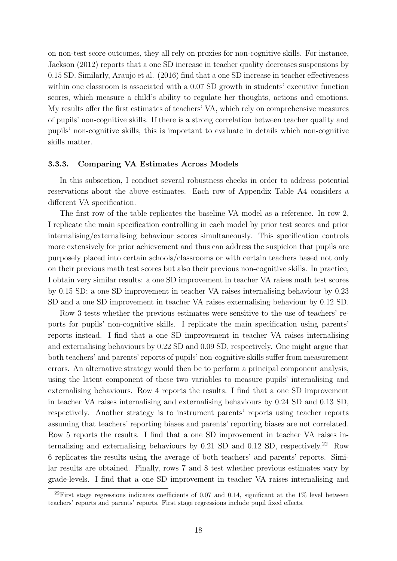on non-test score outcomes, they all rely on proxies for non-cognitive skills. For instance, Jackson (2012) reports that a one SD increase in teacher quality decreases suspensions by 0.15 SD. Similarly, Araujo et al. (2016) find that a one SD increase in teacher effectiveness within one classroom is associated with a 0.07 SD growth in students' executive function scores, which measure a child's ability to regulate her thoughts, actions and emotions. My results offer the first estimates of teachers' VA, which rely on comprehensive measures of pupils' non-cognitive skills. If there is a strong correlation between teacher quality and pupils' non-cognitive skills, this is important to evaluate in details which non-cognitive skills matter.

#### 3.3.3. Comparing VA Estimates Across Models

In this subsection, I conduct several robustness checks in order to address potential reservations about the above estimates. Each row of Appendix Table A4 considers a different VA specification.

The first row of the table replicates the baseline VA model as a reference. In row 2, I replicate the main specification controlling in each model by prior test scores and prior internalising/externalising behaviour scores simultaneously. This specification controls more extensively for prior achievement and thus can address the suspicion that pupils are purposely placed into certain schools/classrooms or with certain teachers based not only on their previous math test scores but also their previous non-cognitive skills. In practice, I obtain very similar results: a one SD improvement in teacher VA raises math test scores by 0.15 SD; a one SD improvement in teacher VA raises internalising behaviour by 0.23 SD and a one SD improvement in teacher VA raises externalising behaviour by 0.12 SD.

Row 3 tests whether the previous estimates were sensitive to the use of teachers' reports for pupils' non-cognitive skills. I replicate the main specification using parents' reports instead. I find that a one SD improvement in teacher VA raises internalising and externalising behaviours by 0.22 SD and 0.09 SD, respectively. One might argue that both teachers' and parents' reports of pupils' non-cognitive skills suffer from measurement errors. An alternative strategy would then be to perform a principal component analysis, using the latent component of these two variables to measure pupils' internalising and externalising behaviours. Row 4 reports the results. I find that a one SD improvement in teacher VA raises internalising and externalising behaviours by 0.24 SD and 0.13 SD, respectively. Another strategy is to instrument parents' reports using teacher reports assuming that teachers' reporting biases and parents' reporting biases are not correlated. Row 5 reports the results. I find that a one SD improvement in teacher VA raises internalising and externalising behaviours by  $0.21$  SD and  $0.12$  SD, respectively.<sup>22</sup> Row 6 replicates the results using the average of both teachers' and parents' reports. Similar results are obtained. Finally, rows 7 and 8 test whether previous estimates vary by grade-levels. I find that a one SD improvement in teacher VA raises internalising and

<sup>&</sup>lt;sup>22</sup>First stage regressions indicates coefficients of 0.07 and 0.14, significant at the  $1\%$  level between teachers' reports and parents' reports. First stage regressions include pupil fixed effects.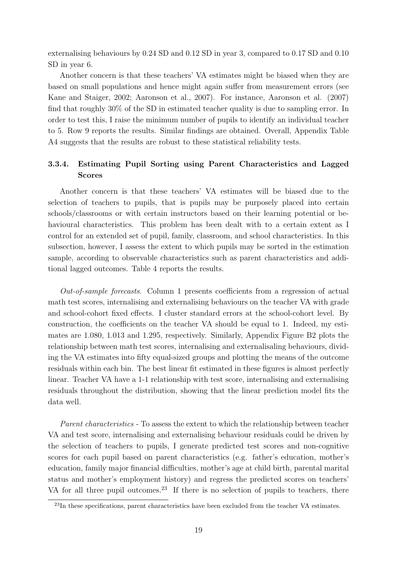externalising behaviours by 0.24 SD and 0.12 SD in year 3, compared to 0.17 SD and 0.10 SD in year 6.

Another concern is that these teachers' VA estimates might be biased when they are based on small populations and hence might again suffer from measurement errors (see Kane and Staiger, 2002; Aaronson et al., 2007). For instance, Aaronson et al. (2007) find that roughly 30% of the SD in estimated teacher quality is due to sampling error. In order to test this, I raise the minimum number of pupils to identify an individual teacher to 5. Row 9 reports the results. Similar findings are obtained. Overall, Appendix Table A4 suggests that the results are robust to these statistical reliability tests.

## 3.3.4. Estimating Pupil Sorting using Parent Characteristics and Lagged Scores

Another concern is that these teachers' VA estimates will be biased due to the selection of teachers to pupils, that is pupils may be purposely placed into certain schools/classrooms or with certain instructors based on their learning potential or behavioural characteristics. This problem has been dealt with to a certain extent as I control for an extended set of pupil, family, classroom, and school characteristics. In this subsection, however, I assess the extent to which pupils may be sorted in the estimation sample, according to observable characteristics such as parent characteristics and additional lagged outcomes. Table 4 reports the results.

Out-of-sample forecasts. Column 1 presents coefficients from a regression of actual math test scores, internalising and externalising behaviours on the teacher VA with grade and school-cohort fixed effects. I cluster standard errors at the school-cohort level. By construction, the coefficients on the teacher VA should be equal to 1. Indeed, my estimates are 1.080, 1.013 and 1.295, respectively. Similarly, Appendix Figure B2 plots the relationship between math test scores, internalising and externalisaling behaviours, dividing the VA estimates into fifty equal-sized groups and plotting the means of the outcome residuals within each bin. The best linear fit estimated in these figures is almost perfectly linear. Teacher VA have a 1-1 relationship with test score, internalising and externalising residuals throughout the distribution, showing that the linear prediction model fits the data well.

Parent characteristics - To assess the extent to which the relationship between teacher VA and test score, internalising and externalising behaviour residuals could be driven by the selection of teachers to pupils, I generate predicted test scores and non-cognitive scores for each pupil based on parent characteristics (e.g. father's education, mother's education, family major financial difficulties, mother's age at child birth, parental marital status and mother's employment history) and regress the predicted scores on teachers' VA for all three pupil outcomes.<sup>23</sup> If there is no selection of pupils to teachers, there

<sup>&</sup>lt;sup>23</sup>In these specifications, parent characteristics have been excluded from the teacher VA estimates.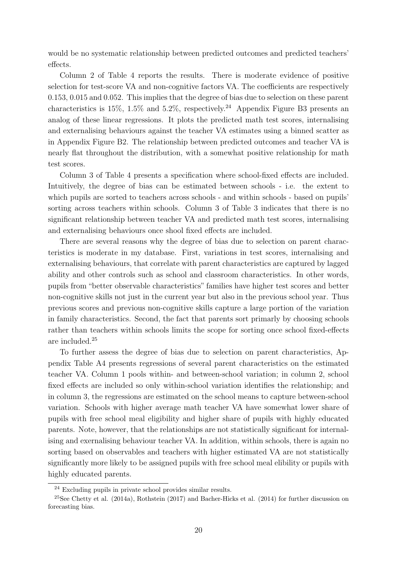would be no systematic relationship between predicted outcomes and predicted teachers' effects.

Column 2 of Table 4 reports the results. There is moderate evidence of positive selection for test-score VA and non-cognitive factors VA. The coefficients are respectively 0.153, 0.015 and 0.052. This implies that the degree of bias due to selection on these parent characteristics is 15%, 1.5% and 5.2%, respectively.<sup>24</sup> Appendix Figure B3 presents an analog of these linear regressions. It plots the predicted math test scores, internalising and externalising behaviours against the teacher VA estimates using a binned scatter as in Appendix Figure B2. The relationship between predicted outcomes and teacher VA is nearly flat throughout the distribution, with a somewhat positive relationship for math test scores.

Column 3 of Table 4 presents a specification where school-fixed effects are included. Intuitively, the degree of bias can be estimated between schools - i.e. the extent to which pupils are sorted to teachers across schools - and within schools - based on pupils' sorting across teachers within schools. Column 3 of Table 3 indicates that there is no significant relationship between teacher VA and predicted math test scores, internalising and externalising behaviours once shool fixed effects are included.

There are several reasons why the degree of bias due to selection on parent characteristics is moderate in my database. First, variations in test scores, internalising and externalising behaviours, that correlate with parent characteristics are captured by lagged ability and other controls such as school and classroom characteristics. In other words, pupils from "better observable characteristics" families have higher test scores and better non-cognitive skills not just in the current year but also in the previous school year. Thus previous scores and previous non-cognitive skills capture a large portion of the variation in family characteristics. Second, the fact that parents sort primarly by choosing schools rather than teachers within schools limits the scope for sorting once school fixed-effects are included.<sup>25</sup>

To further assess the degree of bias due to selection on parent characteristics, Appendix Table A4 presents regressions of several parent characteristics on the estimated teacher VA. Column 1 pools within- and between-school variation; in column 2, school fixed effects are included so only within-school variation identifies the relationship; and in column 3, the regressions are estimated on the school means to capture between-school variation. Schools with higher average math teacher VA have somewhat lower share of pupils with free school meal eligibility and higher share of pupils with highly educated parents. Note, however, that the relationships are not statistically significant for internalising and exernalising behaviour teacher VA. In addition, within schools, there is again no sorting based on observables and teachers with higher estimated VA are not statistically significantly more likely to be assigned pupils with free school meal elibility or pupils with highly educated parents.

 $24$  Excluding pupils in private school provides similar results.

 $25$ See Chetty et al. (2014a), Rothstein (2017) and Bacher-Hicks et al. (2014) for further discussion on forecasting bias.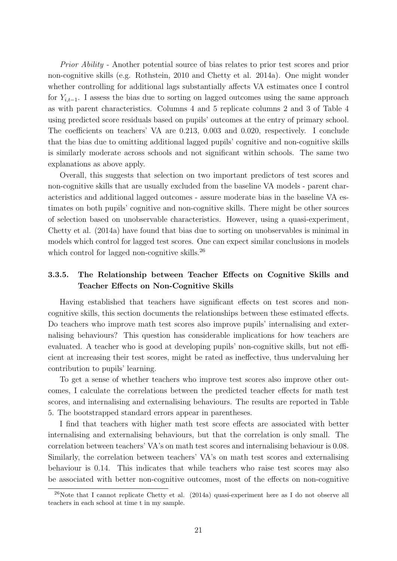Prior Ability - Another potential source of bias relates to prior test scores and prior non-cognitive skills (e.g. Rothstein, 2010 and Chetty et al. 2014a). One might wonder whether controlling for additional lags substantially affects VA estimates once I control for  $Y_{i,t-1}$ . I assess the bias due to sorting on lagged outcomes using the same approach as with parent characteristics. Columns 4 and 5 replicate columns 2 and 3 of Table 4 using predicted score residuals based on pupils' outcomes at the entry of primary school. The coefficients on teachers' VA are 0.213, 0.003 and 0.020, respectively. I conclude that the bias due to omitting additional lagged pupils' cognitive and non-cognitive skills is similarly moderate across schools and not significant within schools. The same two explanations as above apply.

Overall, this suggests that selection on two important predictors of test scores and non-cognitive skills that are usually excluded from the baseline VA models - parent characteristics and additional lagged outcomes - assure moderate bias in the baseline VA estimates on both pupils' cognitive and non-cognitive skills. There might be other sources of selection based on unobservable characteristics. However, using a quasi-experiment, Chetty et al. (2014a) have found that bias due to sorting on unobservables is minimal in models which control for lagged test scores. One can expect similar conclusions in models which control for lagged non-cognitive skills.<sup>26</sup>

## 3.3.5. The Relationship between Teacher Effects on Cognitive Skills and Teacher Effects on Non-Cognitive Skills

Having established that teachers have significant effects on test scores and noncognitive skills, this section documents the relationships between these estimated effects. Do teachers who improve math test scores also improve pupils' internalising and externalising behaviours? This question has considerable implications for how teachers are evaluated. A teacher who is good at developing pupils' non-cognitive skills, but not efficient at increasing their test scores, might be rated as ineffective, thus undervaluing her contribution to pupils' learning.

To get a sense of whether teachers who improve test scores also improve other outcomes, I calculate the correlations between the predicted teacher effects for math test scores, and internalising and externalising behaviours. The results are reported in Table 5. The bootstrapped standard errors appear in parentheses.

I find that teachers with higher math test score effects are associated with better internalising and externalising behaviours, but that the correlation is only small. The correlation between teachers' VA's on math test scores and internalising behaviour is 0.08. Similarly, the correlation between teachers' VA's on math test scores and externalising behaviour is 0.14. This indicates that while teachers who raise test scores may also be associated with better non-cognitive outcomes, most of the effects on non-cognitive

<sup>26</sup>Note that I cannot replicate Chetty et al. (2014a) quasi-experiment here as I do not observe all teachers in each school at time t in my sample.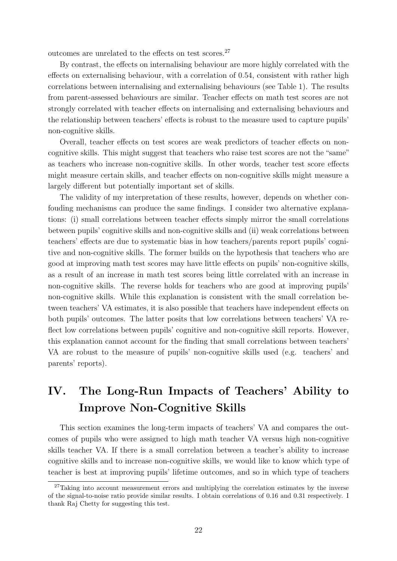outcomes are unrelated to the effects on test scores.<sup>27</sup>

By contrast, the effects on internalising behaviour are more highly correlated with the effects on externalising behaviour, with a correlation of 0.54, consistent with rather high correlations between internalising and externalising behaviours (see Table 1). The results from parent-assessed behaviours are similar. Teacher effects on math test scores are not strongly correlated with teacher effects on internalising and externalising behaviours and the relationship between teachers' effects is robust to the measure used to capture pupils' non-cognitive skills.

Overall, teacher effects on test scores are weak predictors of teacher effects on noncognitive skills. This might suggest that teachers who raise test scores are not the "same" as teachers who increase non-cognitive skills. In other words, teacher test score effects might measure certain skills, and teacher effects on non-cognitive skills might measure a largely different but potentially important set of skills.

The validity of my interpretation of these results, however, depends on whether confouding mechanisms can produce the same findings. I consider two alternative explanations: (i) small correlations between teacher effects simply mirror the small correlations between pupils' cognitive skills and non-cognitive skills and (ii) weak correlations between teachers' effects are due to systematic bias in how teachers/parents report pupils' cognitive and non-cognitive skills. The former builds on the hypothesis that teachers who are good at improving math test scores may have little effects on pupils' non-cognitive skills, as a result of an increase in math test scores being little correlated with an increase in non-cognitive skills. The reverse holds for teachers who are good at improving pupils' non-cognitive skills. While this explanation is consistent with the small correlation between teachers' VA estimates, it is also possible that teachers have independent effects on both pupils' outcomes. The latter posits that low correlations between teachers' VA reflect low correlations between pupils' cognitive and non-cognitive skill reports. However, this explanation cannot account for the finding that small correlations between teachers' VA are robust to the measure of pupils' non-cognitive skills used (e.g. teachers' and parents' reports).

# IV. The Long-Run Impacts of Teachers' Ability to Improve Non-Cognitive Skills

This section examines the long-term impacts of teachers' VA and compares the outcomes of pupils who were assigned to high math teacher VA versus high non-cognitive skills teacher VA. If there is a small correlation between a teacher's ability to increase cognitive skills and to increase non-cognitive skills, we would like to know which type of teacher is best at improving pupils' lifetime outcomes, and so in which type of teachers

 $27$ Taking into account measurement errors and multiplying the correlation estimates by the inverse of the signal-to-noise ratio provide similar results. I obtain correlations of 0.16 and 0.31 respectively. I thank Raj Chetty for suggesting this test.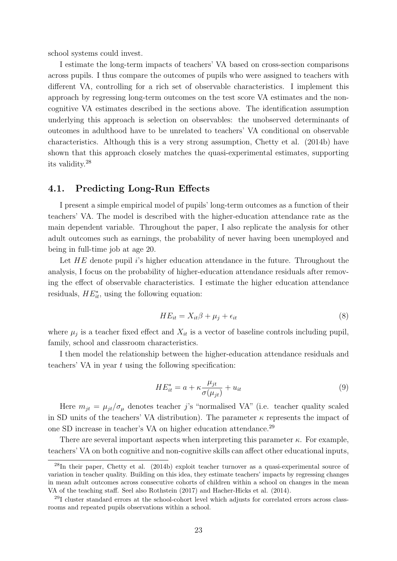school systems could invest.

I estimate the long-term impacts of teachers' VA based on cross-section comparisons across pupils. I thus compare the outcomes of pupils who were assigned to teachers with different VA, controlling for a rich set of observable characteristics. I implement this approach by regressing long-term outcomes on the test score VA estimates and the noncognitive VA estimates described in the sections above. The identification assumption underlying this approach is selection on observables: the unobserved determinants of outcomes in adulthood have to be unrelated to teachers' VA conditional on observable characteristics. Although this is a very strong assumption, Chetty et al. (2014b) have shown that this approach closely matches the quasi-experimental estimates, supporting its validity.<sup>28</sup>

### 4.1. Predicting Long-Run Effects

I present a simple empirical model of pupils' long-term outcomes as a function of their teachers' VA. The model is described with the higher-education attendance rate as the main dependent variable. Throughout the paper, I also replicate the analysis for other adult outcomes such as earnings, the probability of never having been unemployed and being in full-time job at age 20.

Let  $HE$  denote pupil is higher education attendance in the future. Throughout the analysis, I focus on the probability of higher-education attendance residuals after removing the effect of observable characteristics. I estimate the higher education attendance residuals,  $HE_{it}^*$ , using the following equation:

$$
HE_{it} = X_{it}\beta + \mu_j + \epsilon_{it} \tag{8}
$$

where  $\mu_j$  is a teacher fixed effect and  $X_{it}$  is a vector of baseline controls including pupil, family, school and classroom characteristics.

I then model the relationship between the higher-education attendance residuals and teachers' VA in year  $t$  using the following specification:

$$
HE_{it}^* = a + \kappa \frac{\mu_{jt}}{\sigma(\mu_{jt})} + u_{it}
$$
\n<sup>(9)</sup>

Here  $m_{jt} = \mu_{jt}/\sigma_{\mu}$  denotes teacher j's "normalised VA" (i.e. teacher quality scaled in SD units of the teachers' VA distribution). The parameter  $\kappa$  represents the impact of one SD increase in teacher's VA on higher education attendance.<sup>29</sup>

There are several important aspects when interpreting this parameter  $\kappa$ . For example, teachers' VA on both cognitive and non-cognitive skills can affect other educational inputs,

 $^{28}$ In their paper, Chetty et al. (2014b) exploit teacher turnover as a quasi-experimental source of variation in teacher quality. Building on this idea, they estimate teachers' impacts by regressing changes in mean adult outcomes across consecutive cohorts of children within a school on changes in the mean VA of the teaching staff. Seel also Rothstein (2017) and Hacher-Hicks et al. (2014).

<sup>29</sup>I cluster standard errors at the school-cohort level which adjusts for correlated errors across classrooms and repeated pupils observations within a school.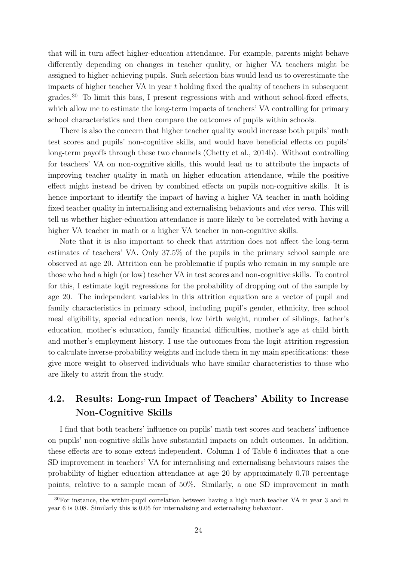that will in turn affect higher-education attendance. For example, parents might behave differently depending on changes in teacher quality, or higher VA teachers might be assigned to higher-achieving pupils. Such selection bias would lead us to overestimate the impacts of higher teacher VA in year  $t$  holding fixed the quality of teachers in subsequent grades.<sup>30</sup> To limit this bias, I present regressions with and without school-fixed effects, which allow me to estimate the long-term impacts of teachers' VA controlling for primary school characteristics and then compare the outcomes of pupils within schools.

There is also the concern that higher teacher quality would increase both pupils' math test scores and pupils' non-cognitive skills, and would have beneficial effects on pupils' long-term payoffs through these two channels (Chetty et al., 2014b). Without controlling for teachers' VA on non-cognitive skills, this would lead us to attribute the impacts of improving teacher quality in math on higher education attendance, while the positive effect might instead be driven by combined effects on pupils non-cognitive skills. It is hence important to identify the impact of having a higher VA teacher in math holding fixed teacher quality in internalising and externalising behaviours and vice versa. This will tell us whether higher-education attendance is more likely to be correlated with having a higher VA teacher in math or a higher VA teacher in non-cognitive skills.

Note that it is also important to check that attrition does not affect the long-term estimates of teachers' VA. Only 37.5% of the pupils in the primary school sample are observed at age 20. Attrition can be problematic if pupils who remain in my sample are those who had a high (or low) teacher VA in test scores and non-cognitive skills. To control for this, I estimate logit regressions for the probability of dropping out of the sample by age 20. The independent variables in this attrition equation are a vector of pupil and family characteristics in primary school, including pupil's gender, ethnicity, free school meal eligibility, special education needs, low birth weight, number of siblings, father's education, mother's education, family financial difficulties, mother's age at child birth and mother's employment history. I use the outcomes from the logit attrition regression to calculate inverse-probability weights and include them in my main specifications: these give more weight to observed individuals who have similar characteristics to those who are likely to attrit from the study.

# 4.2. Results: Long-run Impact of Teachers' Ability to Increase Non-Cognitive Skills

I find that both teachers' influence on pupils' math test scores and teachers' influence on pupils' non-cognitive skills have substantial impacts on adult outcomes. In addition, these effects are to some extent independent. Column 1 of Table 6 indicates that a one SD improvement in teachers' VA for internalising and externalising behaviours raises the probability of higher education attendance at age 20 by approximately 0.70 percentage points, relative to a sample mean of 50%. Similarly, a one SD improvement in math

<sup>30</sup>For instance, the within-pupil correlation between having a high math teacher VA in year 3 and in year 6 is 0.08. Similarly this is 0.05 for internalising and externalising behaviour.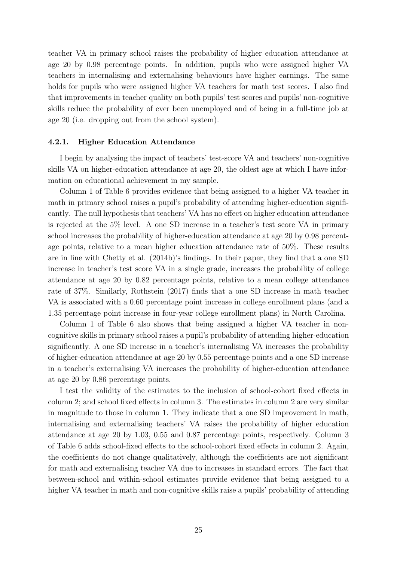teacher VA in primary school raises the probability of higher education attendance at age 20 by 0.98 percentage points. In addition, pupils who were assigned higher VA teachers in internalising and externalising behaviours have higher earnings. The same holds for pupils who were assigned higher VA teachers for math test scores. I also find that improvements in teacher quality on both pupils' test scores and pupils' non-cognitive skills reduce the probability of ever been unemployed and of being in a full-time job at age 20 (i.e. dropping out from the school system).

#### 4.2.1. Higher Education Attendance

I begin by analysing the impact of teachers' test-score VA and teachers' non-cognitive skills VA on higher-education attendance at age 20, the oldest age at which I have information on educational achievement in my sample.

Column 1 of Table 6 provides evidence that being assigned to a higher VA teacher in math in primary school raises a pupil's probability of attending higher-education significantly. The null hypothesis that teachers' VA has no effect on higher education attendance is rejected at the 5% level. A one SD increase in a teacher's test score VA in primary school increases the probability of higher-education attendance at age 20 by 0.98 percentage points, relative to a mean higher education attendance rate of 50%. These results are in line with Chetty et al. (2014b)'s findings. In their paper, they find that a one SD increase in teacher's test score VA in a single grade, increases the probability of college attendance at age 20 by 0.82 percentage points, relative to a mean college attendance rate of 37%. Similarly, Rothstein (2017) finds that a one SD increase in math teacher VA is associated with a 0.60 percentage point increase in college enrollment plans (and a 1.35 percentage point increase in four-year college enrollment plans) in North Carolina.

Column 1 of Table 6 also shows that being assigned a higher VA teacher in noncognitive skills in primary school raises a pupil's probability of attending higher-education significantly. A one SD increase in a teacher's internalising VA increases the probability of higher-education attendance at age 20 by 0.55 percentage points and a one SD increase in a teacher's externalising VA increases the probability of higher-education attendance at age 20 by 0.86 percentage points.

I test the validity of the estimates to the inclusion of school-cohort fixed effects in column 2; and school fixed effects in column 3. The estimates in column 2 are very similar in magnitude to those in column 1. They indicate that a one SD improvement in math, internalising and externalising teachers' VA raises the probability of higher education attendance at age 20 by 1.03, 0.55 and 0.87 percentage points, respectively. Column 3 of Table 6 adds school-fixed effects to the school-cohort fixed effects in column 2. Again, the coefficients do not change qualitatively, although the coefficients are not significant for math and externalising teacher VA due to increases in standard errors. The fact that between-school and within-school estimates provide evidence that being assigned to a higher VA teacher in math and non-cognitive skills raise a pupils' probability of attending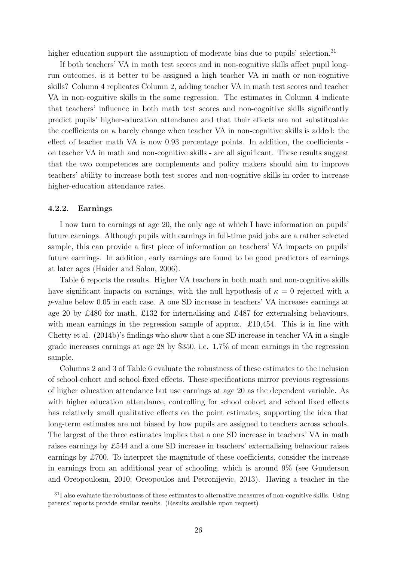higher education support the assumption of moderate bias due to pupils' selection.<sup>31</sup>

If both teachers' VA in math test scores and in non-cognitive skills affect pupil longrun outcomes, is it better to be assigned a high teacher VA in math or non-cognitive skills? Column 4 replicates Column 2, adding teacher VA in math test scores and teacher VA in non-cognitive skills in the same regression. The estimates in Column 4 indicate that teachers' influence in both math test scores and non-cognitive skills significantly predict pupils' higher-education attendance and that their effects are not substituable: the coefficients on  $\kappa$  barely change when teacher VA in non-cognitive skills is added: the effect of teacher math VA is now 0.93 percentage points. In addition, the coefficients on teacher VA in math and non-cognitive skills - are all significant. These results suggest that the two competences are complements and policy makers should aim to improve teachers' ability to increase both test scores and non-cognitive skills in order to increase higher-education attendance rates.

#### 4.2.2. Earnings

I now turn to earnings at age 20, the only age at which I have information on pupils' future earnings. Although pupils with earnings in full-time paid jobs are a rather selected sample, this can provide a first piece of information on teachers' VA impacts on pupils' future earnings. In addition, early earnings are found to be good predictors of earnings at later ages (Haider and Solon, 2006).

Table 6 reports the results. Higher VA teachers in both math and non-cognitive skills have significant impacts on earnings, with the null hypothesis of  $\kappa = 0$  rejected with a p-value below 0.05 in each case. A one SD increase in teachers' VA increases earnings at age 20 by £480 for math, £132 for internalising and £487 for externalsing behaviours, with mean earnings in the regression sample of approx.  $\pounds 10,454$ . This is in line with Chetty et al. (2014b)'s findings who show that a one SD increase in teacher VA in a single grade increases earnings at age 28 by \$350, i.e. 1.7% of mean earnings in the regression sample.

Columns 2 and 3 of Table 6 evaluate the robustness of these estimates to the inclusion of school-cohort and school-fixed effects. These specifications mirror previous regressions of higher education attendance but use earnings at age 20 as the dependent variable. As with higher education attendance, controlling for school cohort and school fixed effects has relatively small qualitative effects on the point estimates, supporting the idea that long-term estimates are not biased by how pupils are assigned to teachers across schools. The largest of the three estimates implies that a one SD increase in teachers' VA in math raises earnings by £544 and a one SD increase in teachers' externalising behaviour raises earnings by £700. To interpret the magnitude of these coefficients, consider the increase in earnings from an additional year of schooling, which is around 9% (see Gunderson and Oreopoulosm, 2010; Oreopoulos and Petronijevic, 2013). Having a teacher in the

 $31$ I also evaluate the robustness of these estimates to alternative measures of non-cognitive skills. Using parents' reports provide similar results. (Results available upon request)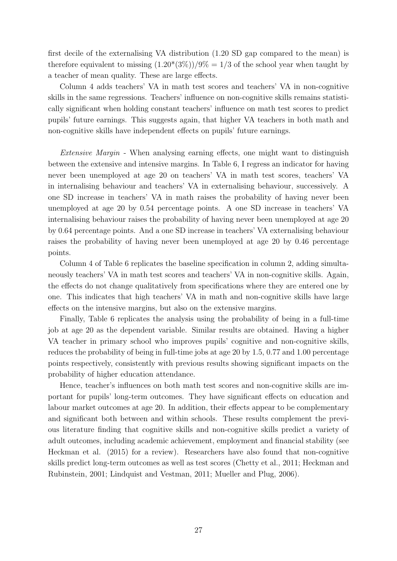first decile of the externalising VA distribution (1.20 SD gap compared to the mean) is therefore equivalent to missing  $(1.20*(3\%)/9\% = 1/3$  of the school year when taught by a teacher of mean quality. These are large effects.

Column 4 adds teachers' VA in math test scores and teachers' VA in non-cognitive skills in the same regressions. Teachers' influence on non-cognitive skills remains statistically significant when holding constant teachers' influence on math test scores to predict pupils' future earnings. This suggests again, that higher VA teachers in both math and non-cognitive skills have independent effects on pupils' future earnings.

Extensive Margin - When analysing earning effects, one might want to distinguish between the extensive and intensive margins. In Table 6, I regress an indicator for having never been unemployed at age 20 on teachers' VA in math test scores, teachers' VA in internalising behaviour and teachers' VA in externalising behaviour, successively. A one SD increase in teachers' VA in math raises the probability of having never been unemployed at age 20 by 0.54 percentage points. A one SD increase in teachers' VA internalising behaviour raises the probability of having never been unemployed at age 20 by 0.64 percentage points. And a one SD increase in teachers' VA externalising behaviour raises the probability of having never been unemployed at age 20 by 0.46 percentage points.

Column 4 of Table 6 replicates the baseline specification in column 2, adding simultaneously teachers' VA in math test scores and teachers' VA in non-cognitive skills. Again, the effects do not change qualitatively from specifications where they are entered one by one. This indicates that high teachers' VA in math and non-cognitive skills have large effects on the intensive margins, but also on the extensive margins.

Finally, Table 6 replicates the analysis using the probability of being in a full-time job at age 20 as the dependent variable. Similar results are obtained. Having a higher VA teacher in primary school who improves pupils' cognitive and non-cognitive skills, reduces the probability of being in full-time jobs at age 20 by 1.5, 0.77 and 1.00 percentage points respectively, consistently with previous results showing significant impacts on the probability of higher education attendance.

Hence, teacher's influences on both math test scores and non-cognitive skills are important for pupils' long-term outcomes. They have significant effects on education and labour market outcomes at age 20. In addition, their effects appear to be complementary and significant both between and within schools. These results complement the previous literature finding that cognitive skills and non-cognitive skills predict a variety of adult outcomes, including academic achievement, employment and financial stability (see Heckman et al. (2015) for a review). Researchers have also found that non-cognitive skills predict long-term outcomes as well as test scores (Chetty et al., 2011; Heckman and Rubinstein, 2001; Lindquist and Vestman, 2011; Mueller and Plug, 2006).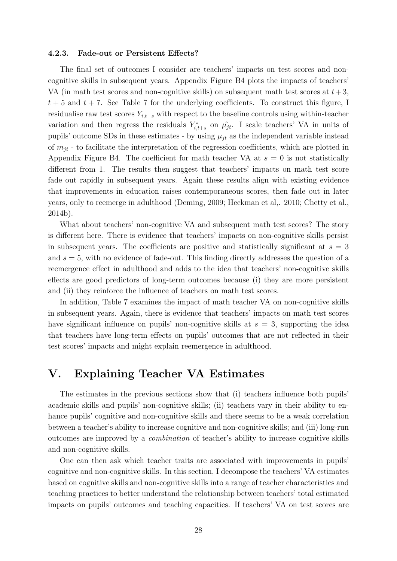#### 4.2.3. Fade-out or Persistent Effects?

The final set of outcomes I consider are teachers' impacts on test scores and noncognitive skills in subsequent years. Appendix Figure B4 plots the impacts of teachers' VA (in math test scores and non-cognitive skills) on subsequent math test scores at  $t + 3$ ,  $t + 5$  and  $t + 7$ . See Table 7 for the underlying coefficients. To construct this figure, I residualise raw test scores  $Y_{i,t+s}$  with respect to the baseline controls using within-teacher variation and then regress the residuals  $Y_{i,t+s}^*$  on  $\hat{\mu}_{jt}$ . I scale teachers' VA in units of pupils' outcome SDs in these estimates - by using  $\mu_{it}$  as the independent variable instead of  $m_{it}$  - to facilitate the interpretation of the regression coefficients, which are plotted in Appendix Figure B4. The coefficient for math teacher VA at  $s = 0$  is not statistically different from 1. The results then suggest that teachers' impacts on math test score fade out rapidly in subsequent years. Again these results align with existing evidence that improvements in education raises contemporaneous scores, then fade out in later years, only to reemerge in adulthood (Deming, 2009; Heckman et al,. 2010; Chetty et al., 2014b).

What about teachers' non-cognitive VA and subsequent math test scores? The story is different here. There is evidence that teachers' impacts on non-cognitive skills persist in subsequent years. The coefficients are positive and statistically significant at  $s = 3$ and  $s = 5$ , with no evidence of fade-out. This finding directly addresses the question of a reemergence effect in adulthood and adds to the idea that teachers' non-cognitive skills effects are good predictors of long-term outcomes because (i) they are more persistent and (ii) they reinforce the influence of teachers on math test scores.

In addition, Table 7 examines the impact of math teacher VA on non-cognitive skills in subsequent years. Again, there is evidence that teachers' impacts on math test scores have significant influence on pupils' non-cognitive skills at  $s = 3$ , supporting the idea that teachers have long-term effects on pupils' outcomes that are not reflected in their test scores' impacts and might explain reemergence in adulthood.

## V. Explaining Teacher VA Estimates

The estimates in the previous sections show that (i) teachers influence both pupils' academic skills and pupils' non-cognitive skills; (ii) teachers vary in their ability to enhance pupils' cognitive and non-cognitive skills and there seems to be a weak correlation between a teacher's ability to increase cognitive and non-cognitive skills; and (iii) long-run outcomes are improved by a combination of teacher's ability to increase cognitive skills and non-cognitive skills.

One can then ask which teacher traits are associated with improvements in pupils' cognitive and non-cognitive skills. In this section, I decompose the teachers' VA estimates based on cognitive skills and non-cognitive skills into a range of teacher characteristics and teaching practices to better understand the relationship between teachers' total estimated impacts on pupils' outcomes and teaching capacities. If teachers' VA on test scores are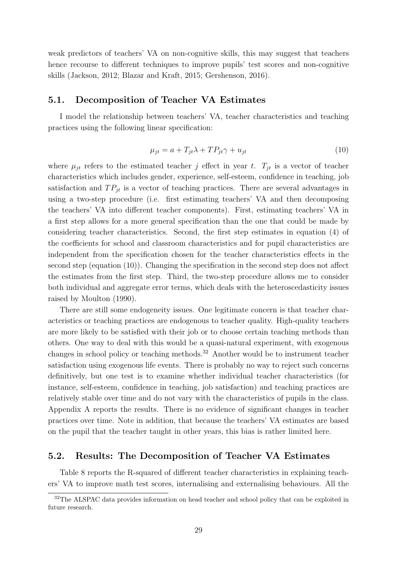weak predictors of teachers' VA on non-cognitive skills, this may suggest that teachers hence recourse to different techniques to improve pupils' test scores and non-cognitive skills (Jackson, 2012; Blazar and Kraft, 2015; Gershenson, 2016).

### 5.1. Decomposition of Teacher VA Estimates

I model the relationship between teachers' VA, teacher characteristics and teaching practices using the following linear specification:

$$
\mu_{jt} = a + T_{jt}\lambda + TP_{jt}\gamma + u_{jt} \tag{10}
$$

where  $\mu_{jt}$  refers to the estimated teacher j effect in year t.  $T_{jt}$  is a vector of teacher characteristics which includes gender, experience, self-esteem, confidence in teaching, job satisfaction and  $TP_{it}$  is a vector of teaching practices. There are several advantages in using a two-step procedure (i.e. first estimating teachers' VA and then decomposing the teachers' VA into different teacher components). First, estimating teachers' VA in a first step allows for a more general specification than the one that could be made by considering teacher characteristics. Second, the first step estimates in equation (4) of the coefficients for school and classroom characteristics and for pupil characteristics are independent from the specification chosen for the teacher characteristics effects in the second step (equation (10)). Changing the specification in the second step does not affect the estimates from the first step. Third, the two-step procedure allows me to consider both individual and aggregate error terms, which deals with the heteroscedasticity issues raised by Moulton (1990).

There are still some endogeneity issues. One legitimate concern is that teacher characteristics or teaching practices are endogenous to teacher quality. High-quality teachers are more likely to be satisfied with their job or to choose certain teaching methods than others. One way to deal with this would be a quasi-natural experiment, with exogenous changes in school policy or teaching methods.<sup>32</sup> Another would be to instrument teacher satisfaction using exogenous life events. There is probably no way to reject such concerns definitively, but one test is to examine whether individual teacher characteristics (for instance, self-esteem, confidence in teaching, job satisfaction) and teaching practices are relatively stable over time and do not vary with the characteristics of pupils in the class. Appendix A reports the results. There is no evidence of significant changes in teacher practices over time. Note in addition, that because the teachers' VA estimates are based on the pupil that the teacher taught in other years, this bias is rather limited here.

## 5.2. Results: The Decomposition of Teacher VA Estimates

Table 8 reports the R-squared of different teacher characteristics in explaining teachers' VA to improve math test scores, internalising and externalising behaviours. All the

<sup>&</sup>lt;sup>32</sup>The ALSPAC data provides information on head teacher and school policy that can be exploited in future research.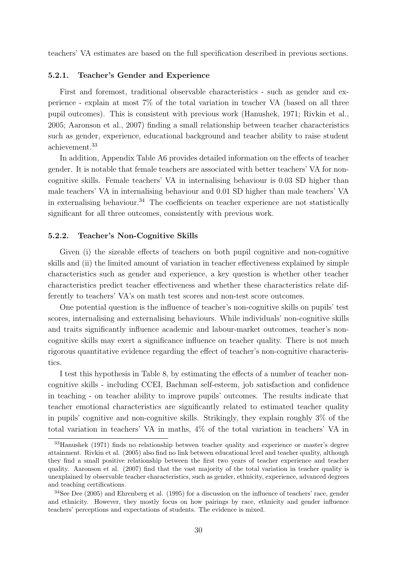teachers' VA estimates are based on the full specification described in previous sections.

#### 5.2.1. Teacher's Gender and Experience

First and foremost, traditional observable characteristics - such as gender and experience - explain at most 7% of the total variation in teacher VA (based on all three pupil outcomes). This is consistent with previous work (Hanushek, 1971; Rivkin et al., 2005; Aaronson et al., 2007) finding a small relationship between teacher characteristics such as gender, experience, educational background and teacher ability to raise student achievement.<sup>33</sup>

In addition, Appendix Table A6 provides detailed information on the effects of teacher gender. It is notable that female teachers are associated with better teachers' VA for noncognitive skills. Female teachers' VA in internalising behaviour is 0.03 SD higher than male teachers' VA in internalising behaviour and 0.01 SD higher than male teachers' VA in externalising behaviour.<sup>34</sup> The coefficients on teacher experience are not statistically significant for all three outcomes, consistently with previous work.

#### 5.2.2. Teacher's Non-Cognitive Skills

Given (i) the sizeable effects of teachers on both pupil cognitive and non-cognitive skills and (ii) the limited amount of variation in teacher effectiveness explained by simple characteristics such as gender and experience, a key question is whether other teacher characteristics predict teacher effectiveness and whether these characteristics relate differently to teachers' VA's on math test scores and non-test score outcomes.

One potential question is the influence of teacher's non-cognitive skills on pupils' test scores, internalising and externalising behaviours. While individuals' non-cognitive skills and traits significantly influence academic and labour-market outcomes, teacher's noncognitive skills may exert a significance influence on teacher quality. There is not much rigorous quantitative evidence regarding the effect of teacher's non-cognitive characteristics.

I test this hypothesis in Table 8, by estimating the effects of a number of teacher noncognitive skills - including CCEI, Bachman self-esteem, job satisfaction and confidence in teaching - on teacher ability to improve pupils' outcomes. The results indicate that teacher emotional characteristics are significantly related to estimated teacher quality in pupils' cognitive and non-cognitive skills. Strikingly, they explain roughly 3% of the total variation in teachers' VA in maths, 4% of the total variation in teachers' VA in

<sup>33</sup>Hanushek (1971) finds no relationship between teacher quality and experience or master's degree attainment. Rivkin et al. (2005) also find no link between educational level and teacher quality, although they find a small positive relationship between the first two years of teacher experience and teacher quality. Aaronson et al. (2007) find that the vast majority of the total variation in teacher quality is unexplained by observable teacher characteristics, such as gender, ethnicity, experience, advanced degrees and teaching certifications.

<sup>34</sup>See Dee (2005) and Ehrenberg et al. (1995) for a discussion on the influence of teachers' race, gender and ethnicity. However, they mostly focus on how pairings by race, ethnicity and gender influence teachers' perceptions and expectations of students. The evidence is mixed.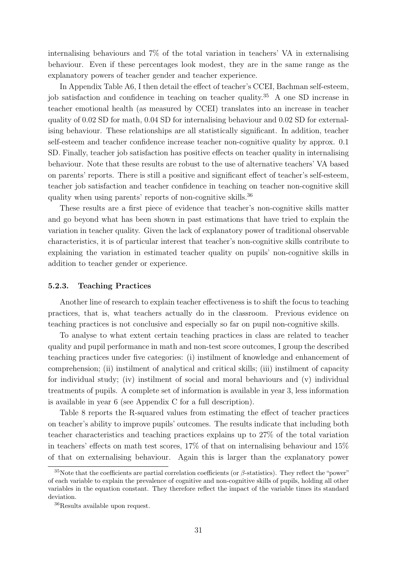internalising behaviours and 7% of the total variation in teachers' VA in externalising behaviour. Even if these percentages look modest, they are in the same range as the explanatory powers of teacher gender and teacher experience.

In Appendix Table A6, I then detail the effect of teacher's CCEI, Bachman self-esteem, job satisfaction and confidence in teaching on teacher quality.<sup>35</sup> A one SD increase in teacher emotional health (as measured by CCEI) translates into an increase in teacher quality of 0.02 SD for math, 0.04 SD for internalising behaviour and 0.02 SD for externalising behaviour. These relationships are all statistically significant. In addition, teacher self-esteem and teacher confidence increase teacher non-cognitive quality by approx. 0.1 SD. Finally, teacher job satisfaction has positive effects on teacher quality in internalising behaviour. Note that these results are robust to the use of alternative teachers' VA based on parents' reports. There is still a positive and significant effect of teacher's self-esteem, teacher job satisfaction and teacher confidence in teaching on teacher non-cognitive skill quality when using parents' reports of non-cognitive skills.<sup>36</sup>

These results are a first piece of evidence that teacher's non-cognitive skills matter and go beyond what has been shown in past estimations that have tried to explain the variation in teacher quality. Given the lack of explanatory power of traditional observable characteristics, it is of particular interest that teacher's non-cognitive skills contribute to explaining the variation in estimated teacher quality on pupils' non-cognitive skills in addition to teacher gender or experience.

#### 5.2.3. Teaching Practices

Another line of research to explain teacher effectiveness is to shift the focus to teaching practices, that is, what teachers actually do in the classroom. Previous evidence on teaching practices is not conclusive and especially so far on pupil non-cognitive skills.

To analyse to what extent certain teaching practices in class are related to teacher quality and pupil performance in math and non-test score outcomes, I group the described teaching practices under five categories: (i) instilment of knowledge and enhancement of comprehension; (ii) instilment of analytical and critical skills; (iii) instilment of capacity for individual study; (iv) instilment of social and moral behaviours and (v) individual treatments of pupils. A complete set of information is available in year 3, less information is available in year 6 (see Appendix C for a full description).

Table 8 reports the R-squared values from estimating the effect of teacher practices on teacher's ability to improve pupils' outcomes. The results indicate that including both teacher characteristics and teaching practices explains up to 27% of the total variation in teachers' effects on math test scores, 17% of that on internalising behaviour and 15% of that on externalising behaviour. Again this is larger than the explanatory power

<sup>&</sup>lt;sup>35</sup>Note that the coefficients are partial correlation coefficients (or  $\beta$ -statistics). They reflect the "power" of each variable to explain the prevalence of cognitive and non-cognitive skills of pupils, holding all other variables in the equation constant. They therefore reflect the impact of the variable times its standard deviation.

<sup>36</sup>Results available upon request.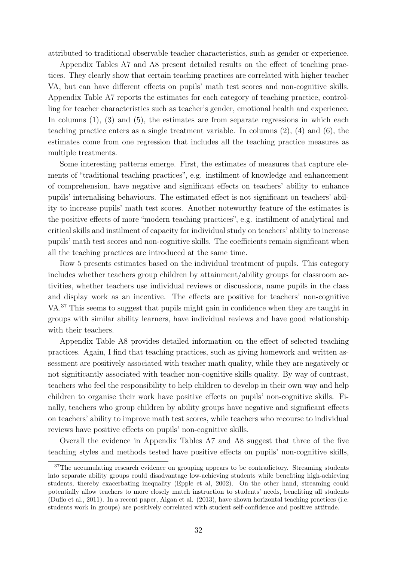attributed to traditional observable teacher characteristics, such as gender or experience.

Appendix Tables A7 and A8 present detailed results on the effect of teaching practices. They clearly show that certain teaching practices are correlated with higher teacher VA, but can have different effects on pupils' math test scores and non-cognitive skills. Appendix Table A7 reports the estimates for each category of teaching practice, controlling for teacher characteristics such as teacher's gender, emotional health and experience. In columns  $(1)$ ,  $(3)$  and  $(5)$ , the estimates are from separate regressions in which each teaching practice enters as a single treatment variable. In columns (2), (4) and (6), the estimates come from one regression that includes all the teaching practice measures as multiple treatments.

Some interesting patterns emerge. First, the estimates of measures that capture elements of "traditional teaching practices", e.g. instilment of knowledge and enhancement of comprehension, have negative and significant effects on teachers' ability to enhance pupils' internalising behaviours. The estimated effect is not significant on teachers' ability to increase pupils' math test scores. Another noteworthy feature of the estimates is the positive effects of more "modern teaching practices", e.g. instilment of analytical and critical skills and instilment of capacity for individual study on teachers' ability to increase pupils' math test scores and non-cognitive skills. The coefficients remain significant when all the teaching practices are introduced at the same time.

Row 5 presents estimates based on the individual treatment of pupils. This category includes whether teachers group children by attainment/ability groups for classroom activities, whether teachers use individual reviews or discussions, name pupils in the class and display work as an incentive. The effects are positive for teachers' non-cognitive VA.<sup>37</sup> This seems to suggest that pupils might gain in confidence when they are taught in groups with similar ability learners, have individual reviews and have good relationship with their teachers.

Appendix Table A8 provides detailed information on the effect of selected teaching practices. Again, I find that teaching practices, such as giving homework and written assessment are positively associated with teacher math quality, while they are negatively or not signiticantly associated with teacher non-cognitive skills quality. By way of contrast, teachers who feel the responsibility to help children to develop in their own way and help children to organise their work have positive effects on pupils' non-cognitive skills. Finally, teachers who group children by ability groups have negative and significant effects on teachers' ability to improve math test scores, while teachers who recourse to individual reviews have positive effects on pupils' non-cognitive skills.

Overall the evidence in Appendix Tables A7 and A8 suggest that three of the five teaching styles and methods tested have positive effects on pupils' non-cognitive skills,

<sup>&</sup>lt;sup>37</sup>The accumulating research evidence on grouping appears to be contradictory. Streaming students into separate ability groups could disadvantage low-achieving students while benefiting high-achieving students, thereby exacerbating inequality (Epple et al, 2002). On the other hand, streaming could potentially allow teachers to more closely match instruction to students' needs, benefiting all students (Duflo et al., 2011). In a recent paper, Algan et al. (2013), have shown horizontal teaching practices (i.e. students work in groups) are positively correlated with student self-confidence and positive attitude.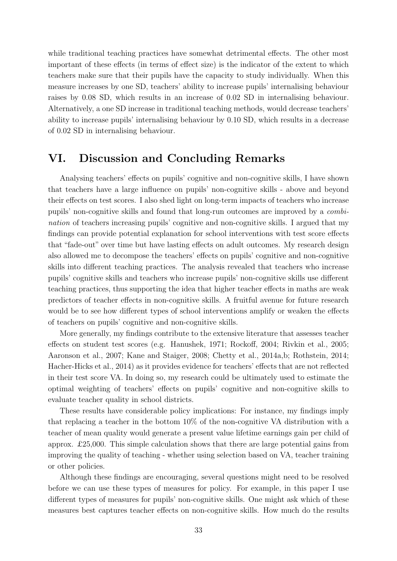while traditional teaching practices have somewhat detrimental effects. The other most important of these effects (in terms of effect size) is the indicator of the extent to which teachers make sure that their pupils have the capacity to study individually. When this measure increases by one SD, teachers' ability to increase pupils' internalising behaviour raises by 0.08 SD, which results in an increase of 0.02 SD in internalising behaviour. Alternatively, a one SD increase in traditional teaching methods, would decrease teachers' ability to increase pupils' internalising behaviour by 0.10 SD, which results in a decrease of 0.02 SD in internalising behaviour.

# VI. Discussion and Concluding Remarks

Analysing teachers' effects on pupils' cognitive and non-cognitive skills, I have shown that teachers have a large influence on pupils' non-cognitive skills - above and beyond their effects on test scores. I also shed light on long-term impacts of teachers who increase pupils' non-cognitive skills and found that long-run outcomes are improved by a combination of teachers increasing pupils' cognitive and non-cognitive skills. I argued that my findings can provide potential explanation for school interventions with test score effects that "fade-out" over time but have lasting effects on adult outcomes. My research design also allowed me to decompose the teachers' effects on pupils' cognitive and non-cognitive skills into different teaching practices. The analysis revealed that teachers who increase pupils' cognitive skills and teachers who increase pupils' non-cognitive skills use different teaching practices, thus supporting the idea that higher teacher effects in maths are weak predictors of teacher effects in non-cognitive skills. A fruitful avenue for future research would be to see how different types of school interventions amplify or weaken the effects of teachers on pupils' cognitive and non-cognitive skills.

More generally, my findings contribute to the extensive literature that assesses teacher effects on student test scores (e.g. Hanushek, 1971; Rockoff, 2004; Rivkin et al., 2005; Aaronson et al., 2007; Kane and Staiger, 2008; Chetty et al., 2014a,b; Rothstein, 2014; Hacher-Hicks et al., 2014) as it provides evidence for teachers' effects that are not reflected in their test score VA. In doing so, my research could be ultimately used to estimate the optimal weighting of teachers' effects on pupils' cognitive and non-cognitive skills to evaluate teacher quality in school districts.

These results have considerable policy implications: For instance, my findings imply that replacing a teacher in the bottom 10% of the non-cognitive VA distribution with a teacher of mean quality would generate a present value lifetime earnings gain per child of approx. £25,000. This simple calculation shows that there are large potential gains from improving the quality of teaching - whether using selection based on VA, teacher training or other policies.

Although these findings are encouraging, several questions might need to be resolved before we can use these types of measures for policy. For example, in this paper I use different types of measures for pupils' non-cognitive skills. One might ask which of these measures best captures teacher effects on non-cognitive skills. How much do the results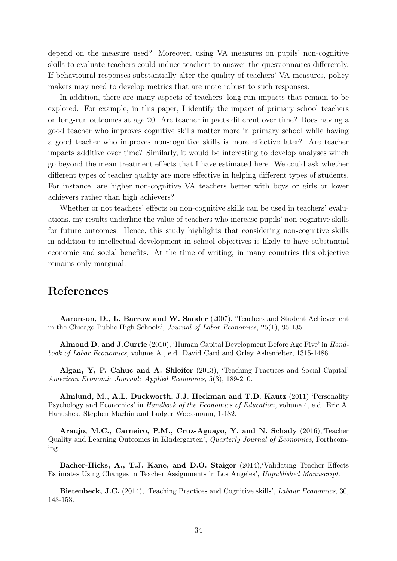depend on the measure used? Moreover, using VA measures on pupils' non-cognitive skills to evaluate teachers could induce teachers to answer the questionnaires differently. If behavioural responses substantially alter the quality of teachers' VA measures, policy makers may need to develop metrics that are more robust to such responses.

In addition, there are many aspects of teachers' long-run impacts that remain to be explored. For example, in this paper, I identify the impact of primary school teachers on long-run outcomes at age 20. Are teacher impacts different over time? Does having a good teacher who improves cognitive skills matter more in primary school while having a good teacher who improves non-cognitive skills is more effective later? Are teacher impacts additive over time? Similarly, it would be interesting to develop analyses which go beyond the mean treatment effects that I have estimated here. We could ask whether different types of teacher quality are more effective in helping different types of students. For instance, are higher non-cognitive VA teachers better with boys or girls or lower achievers rather than high achievers?

Whether or not teachers' effects on non-cognitive skills can be used in teachers' evaluations, my results underline the value of teachers who increase pupils' non-cognitive skills for future outcomes. Hence, this study highlights that considering non-cognitive skills in addition to intellectual development in school objectives is likely to have substantial economic and social benefits. At the time of writing, in many countries this objective remains only marginal.

## References

Aaronson, D., L. Barrow and W. Sander (2007), 'Teachers and Student Achievement in the Chicago Public High Schools', Journal of Labor Economics, 25(1), 95-135.

Almond D. and J.Currie (2010), 'Human Capital Development Before Age Five' in Handbook of Labor Economics, volume A., e.d. David Card and Orley Ashenfelter, 1315-1486.

Algan, Y, P. Cahuc and A. Shleifer (2013), 'Teaching Practices and Social Capital' American Economic Journal: Applied Economics, 5(3), 189-210.

Almlund, M., A.L. Duckworth, J.J. Heckman and T.D. Kautz (2011) 'Personality Psychology and Economics' in Handbook of the Economics of Education, volume 4, e.d. Eric A. Hanushek, Stephen Machin and Ludger Woessmann, 1-182.

Araujo, M.C., Carneiro, P.M., Cruz-Aguayo, Y. and N. Schady (2016),'Teacher Quality and Learning Outcomes in Kindergarten', Quarterly Journal of Economics, Forthcoming.

Bacher-Hicks, A., T.J. Kane, and D.O. Staiger (2014),'Validating Teacher Effects Estimates Using Changes in Teacher Assignments in Los Angeles', Unpublished Manuscript.

Bietenbeck, J.C. (2014), 'Teaching Practices and Cognitive skills', Labour Economics, 30, 143-153.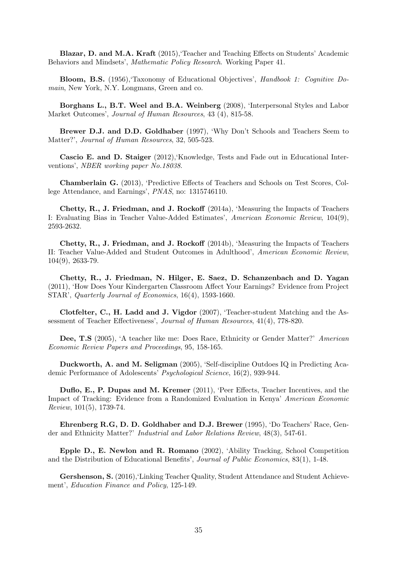Blazar, D. and M.A. Kraft (2015),'Teacher and Teaching Effects on Students' Academic Behaviors and Mindsets', Mathematic Policy Research. Working Paper 41.

Bloom, B.S. (1956),'Taxonomy of Educational Objectives', Handbook 1: Cognitive Domain, New York, N.Y. Longmans, Green and co.

Borghans L., B.T. Weel and B.A. Weinberg (2008), 'Interpersonal Styles and Labor Market Outcomes', Journal of Human Resources, 43 (4), 815-58.

Brewer D.J. and D.D. Goldhaber (1997), 'Why Don't Schools and Teachers Seem to Matter?', Journal of Human Resources, 32, 505-523.

Cascio E. and D. Staiger (2012),'Knowledge, Tests and Fade out in Educational Interventions', NBER working paper No.18038.

Chamberlain G. (2013), 'Predictive Effects of Teachers and Schools on Test Scores, College Attendance, and Earnings', PNAS, no: 1315746110.

Chetty, R., J. Friedman, and J. Rockoff (2014a), 'Measuring the Impacts of Teachers I: Evaluating Bias in Teacher Value-Added Estimates', American Economic Review, 104(9), 2593-2632.

Chetty, R., J. Friedman, and J. Rockoff (2014b), 'Measuring the Impacts of Teachers II: Teacher Value-Added and Student Outcomes in Adulthood', American Economic Review, 104(9), 2633-79.

Chetty, R., J. Friedman, N. Hilger, E. Saez, D. Schanzenbach and D. Yagan (2011), 'How Does Your Kindergarten Classroom Affect Your Earnings? Evidence from Project STAR', Quarterly Journal of Economics, 16(4), 1593-1660.

Clotfelter, C., H. Ladd and J. Vigdor (2007), 'Teacher-student Matching and the Assessment of Teacher Effectiveness', Journal of Human Resources, 41(4), 778-820.

Dee, T.S (2005), 'A teacher like me: Does Race, Ethnicity or Gender Matter?' American Economic Review Papers and Proceedings, 95, 158-165.

Duckworth, A. and M. Seligman (2005), 'Self-discipline Outdoes IQ in Predicting Academic Performance of Adolescents' Psychological Science, 16(2), 939-944.

Duflo, E., P. Dupas and M. Kremer (2011), 'Peer Effects, Teacher Incentives, and the Impact of Tracking: Evidence from a Randomized Evaluation in Kenya' American Economic Review, 101(5), 1739-74.

Ehrenberg R.G, D. D. Goldhaber and D.J. Brewer (1995), 'Do Teachers' Race, Gender and Ethnicity Matter?' Industrial and Labor Relations Review, 48(3), 547-61.

Epple D., E. Newlon and R. Romano (2002), 'Ability Tracking, School Competition and the Distribution of Educational Benefits', Journal of Public Economics, 83(1), 1-48.

Gershenson, S. (2016),'Linking Teacher Quality, Student Attendance and Student Achievement', Education Finance and Policy, 125-149.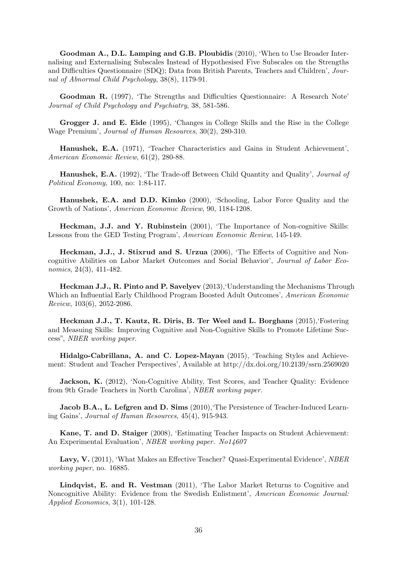Goodman A., D.L. Lamping and G.B. Ploubidis (2010), 'When to Use Broader Internalising and Externalising Subscales Instead of Hypothesised Five Subscales on the Strengths and Difficulties Questionnaire (SDQ); Data from British Parents, Teachers and Children', Journal of Abnormal Child Psychology, 38(8), 1179-91.

Goodman R. (1997), 'The Strengths and Difficulties Questionnaire: A Research Note' Journal of Child Psychology and Psychiatry, 38, 581-586.

Grogger J. and E. Eide (1995), 'Changes in College Skills and the Rise in the College Wage Premium', Journal of Human Resources, 30(2), 280-310.

Hanushek, E.A. (1971), 'Teacher Characteristics and Gains in Student Achievement', American Economic Review, 61(2), 280-88.

Hanushek, E.A. (1992), 'The Trade-off Between Child Quantity and Quality', Journal of Political Economy, 100, no: 1:84-117.

Hanushek, E.A. and D.D. Kimko (2000), 'Schooling, Labor Force Quality and the Growth of Nations', American Economic Review, 90, 1184-1208.

Heckman, J.J. and Y. Rubinstein (2001), 'The Importance of Non-cognitive Skills: Lessons from the GED Testing Program', American Economic Review, 145-149.

Heckman, J.J., J. Stixrud and S. Urzua (2006), 'The Effects of Cognitive and Noncognitive Abilities on Labor Market Outcomes and Social Behavior', Journal of Labor Economics, 24(3), 411-482.

Heckman J.J., R. Pinto and P. Savelyev (2013),'Understanding the Mechanisms Through Which an Influential Early Childhood Program Boosted Adult Outcomes', American Economic Review, 103(6), 2052-2086.

Heckman J.J., T. Kautz, R. Diris, B. Ter Weel and L. Borghans (2015),'Fostering and Measuing Skills: Improving Cognitive and Non-Cognitive Skills to Promote Lifetime Success", NBER working paper.

Hidalgo-Cabrillana, A. and C. Lopez-Mayan (2015), 'Teaching Styles and Achievement: Student and Teacher Perspectives', Available at http://dx.doi.org/10.2139/ssrn.2569020

Jackson, K. (2012), 'Non-Cognitive Ability, Test Scores, and Teacher Quality: Evidence from 9th Grade Teachers in North Carolina', NBER working paper.

**Jacob B.A., L. Lefgren and D. Sims** (2010), The Persistence of Teacher-Induced Learning Gains', Journal of Human Resources, 45(4), 915-943.

Kane, T. and D. Staiger (2008), 'Estimating Teacher Impacts on Student Achievement: An Experimental Evaluation', NBER working paper. No14607

Lavy, V. (2011), 'What Makes an Effective Teacher? Quasi-Experimental Evidence', NBER working paper, no. 16885.

Lindqvist, E. and R. Vestman (2011), 'The Labor Market Returns to Cognitive and Noncognitive Ability: Evidence from the Swedish Enlistment', American Economic Journal: Applied Economics, 3(1), 101-128.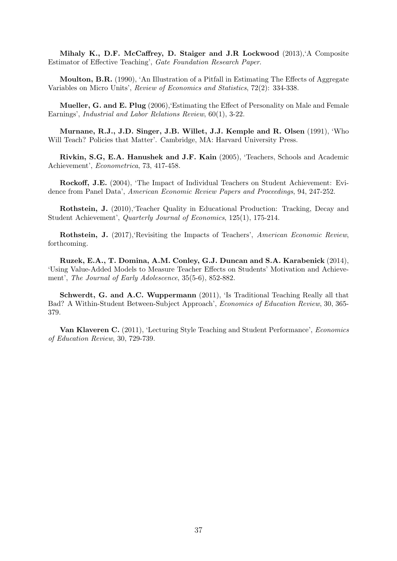Mihaly K., D.F. McCaffrey, D. Staiger and J.R Lockwood (2013),'A Composite Estimator of Effective Teaching', Gate Foundation Research Paper.

Moulton, B.R. (1990), 'An Illustration of a Pitfall in Estimating The Effects of Aggregate Variables on Micro Units', Review of Economics and Statistics, 72(2): 334-338.

Mueller, G. and E. Plug (2006),'Estimating the Effect of Personality on Male and Female Earnings', Industrial and Labor Relations Review, 60(1), 3-22.

Murnane, R.J., J.D. Singer, J.B. Willet, J.J. Kemple and R. Olsen (1991), 'Who Will Teach? Policies that Matter'. Cambridge, MA: Harvard University Press.

Rivkin, S.G, E.A. Hanushek and J.F. Kain (2005), 'Teachers, Schools and Academic Achievement', Econometrica, 73, 417-458.

Rockoff, J.E. (2004), 'The Impact of Individual Teachers on Student Achievement: Evidence from Panel Data', American Economic Review Papers and Proceedings, 94, 247-252.

Rothstein, J. (2010),'Teacher Quality in Educational Production: Tracking, Decay and Student Achievement', Quarterly Journal of Economics, 125(1), 175-214.

Rothstein, J. (2017),'Revisiting the Impacts of Teachers', American Economic Review, forthcoming.

Ruzek, E.A., T. Domina, A.M. Conley, G.J. Duncan and S.A. Karabenick (2014), 'Using Value-Added Models to Measure Teacher Effects on Students' Motivation and Achievement', The Journal of Early Adolescence, 35(5-6), 852-882.

Schwerdt, G. and A.C. Wuppermann (2011), 'Is Traditional Teaching Really all that Bad? A Within-Student Between-Subject Approach', Economics of Education Review, 30, 365- 379.

Van Klaveren C. (2011), 'Lecturing Style Teaching and Student Performance', Economics of Education Review, 30, 729-739.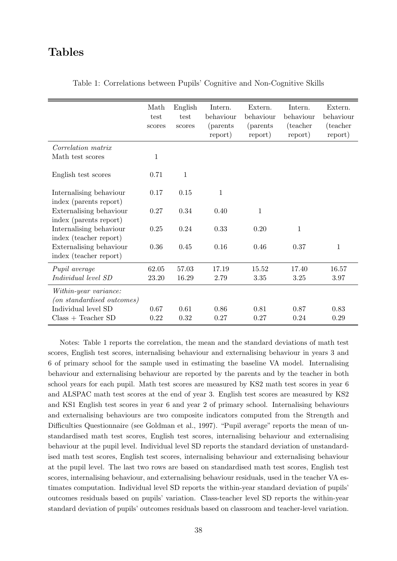# Tables

|                                                            | Math<br>test<br>scores | English<br>test<br>scores | Intern.<br>behaviour<br><i>(parents)</i><br>report) | Extern.<br>behaviour<br><i>(parents)</i><br>report) | Intern.<br>behaviour<br>(teacher)<br>report) | Extern.<br>behaviour<br>(teacher<br>report) |
|------------------------------------------------------------|------------------------|---------------------------|-----------------------------------------------------|-----------------------------------------------------|----------------------------------------------|---------------------------------------------|
| <i>Correlation matrix</i>                                  |                        |                           |                                                     |                                                     |                                              |                                             |
| Math test scores                                           | $\mathbf{1}$           |                           |                                                     |                                                     |                                              |                                             |
| English test scores                                        | 0.71                   | 1                         |                                                     |                                                     |                                              |                                             |
| Internalising behaviour<br>index (parents report)          | 0.17                   | 0.15                      | $\mathbf{1}$                                        |                                                     |                                              |                                             |
| Externalising behaviour<br>index (parents report)          | 0.27                   | 0.34                      | 0.40                                                | $\mathbf{1}$                                        |                                              |                                             |
| Internalising behaviour<br>index (teacher report)          | 0.25                   | 0.24                      | 0.33                                                | 0.20                                                | $\mathbf{1}$                                 |                                             |
| Externalising behaviour<br>index (teacher report)          | 0.36                   | 0.45                      | 0.16                                                | 0.46                                                | 0.37                                         | 1                                           |
| Pupil average                                              | 62.05                  | 57.03                     | 17.19                                               | 15.52                                               | 17.40                                        | 16.57                                       |
| Individual level SD                                        | 23.20                  | 16.29                     | 2.79                                                | 3.35                                                | 3.25                                         | 3.97                                        |
| Within-year variance:<br><i>(on standardised outcomes)</i> |                        |                           |                                                     |                                                     |                                              |                                             |
| Individual level SD                                        | 0.67                   | 0.61                      | 0.86                                                | 0.81                                                | 0.87                                         | 0.83                                        |
| $Class + Teacher SD$                                       | 0.22                   | 0.32                      | 0.27                                                | 0.27                                                | 0.24                                         | 0.29                                        |

Table 1: Correlations between Pupils' Cognitive and Non-Cognitive Skills

Notes: Table 1 reports the correlation, the mean and the standard deviations of math test scores, English test scores, internalising behaviour and externalising behaviour in years 3 and 6 of primary school for the sample used in estimating the baseline VA model. Internalising behaviour and externalising behaviour are reported by the parents and by the teacher in both school years for each pupil. Math test scores are measured by KS2 math test scores in year 6 and ALSPAC math test scores at the end of year 3. English test scores are measured by KS2 and KS1 English test scores in year 6 and year 2 of primary school. Internalising behaviours and externalising behaviours are two composite indicators computed from the Strength and Difficulties Questionnaire (see Goldman et al., 1997). "Pupil average" reports the mean of unstandardised math test scores, English test scores, internalising behaviour and externalising behaviour at the pupil level. Individual level SD reports the standard deviation of unstandardised math test scores, English test scores, internalising behaviour and externalising behaviour at the pupil level. The last two rows are based on standardised math test scores, English test scores, internalising behaviour, and externalising behaviour residuals, used in the teacher VA estimates computation. Individual level SD reports the within-year standard deviation of pupils' outcomes residuals based on pupils' variation. Class-teacher level SD reports the within-year standard deviation of pupils' outcomes residuals based on classroom and teacher-level variation.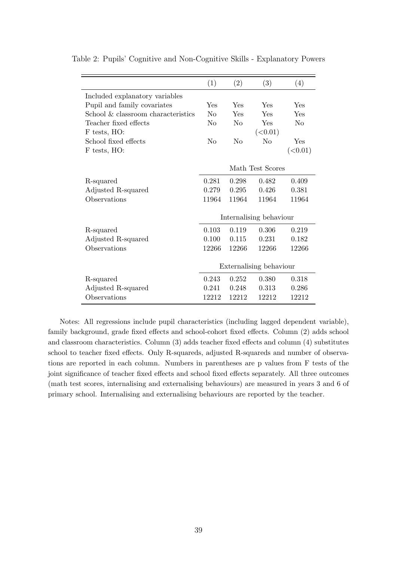|                                    | (1)                     | (2)            | (3)      | (4)      |
|------------------------------------|-------------------------|----------------|----------|----------|
| Included explanatory variables     |                         |                |          |          |
| Pupil and family covariates        | Yes                     | Yes            | Yes      | Yes      |
| School & classroom characteristics | $\rm No$                | Yes            | Yes      | Yes      |
| Teacher fixed effects              | $\rm No$                | $\rm No$       | Yes      | $\rm No$ |
| F tests, HO:                       |                         |                | (<0.01)  |          |
| School fixed effects               | N <sub>0</sub>          | N <sub>0</sub> | $\rm No$ | Yes      |
| F tests, HO:                       |                         |                |          | (<0.01)  |
|                                    |                         |                |          |          |
|                                    | Math Test Scores        |                |          |          |
| R-squared                          | 0.281                   | 0.298          | 0.482    | 0.409    |
| Adjusted R-squared                 | 0.279                   | 0.295          | 0.426    | 0.381    |
| Observations                       | 11964                   | 11964          | 11964    | 11964    |
|                                    |                         |                |          |          |
|                                    | Internalising behaviour |                |          |          |
| R-squared                          | 0.103                   | 0.119          | 0.306    | 0.219    |
| Adjusted R-squared                 | 0.100                   | 0.115          | 0.231    | 0.182    |
| Observations                       | 12266                   | 12266          | 12266    | 12266    |
|                                    |                         |                |          |          |
|                                    | Externalising behaviour |                |          |          |
| R-squared                          | 0.243                   | 0.252          | 0.380    | 0.318    |
| Adjusted R-squared                 | 0.241                   | 0.248          | 0.313    | 0.286    |
| Observations                       | 12212                   | 12212          | 12212    | 12212    |

Table 2: Pupils' Cognitive and Non-Cognitive Skills - Explanatory Powers

Notes: All regressions include pupil characteristics (including lagged dependent variable), family background, grade fixed effects and school-cohort fixed effects. Column (2) adds school and classroom characteristics. Column (3) adds teacher fixed effects and column (4) substitutes school to teacher fixed effects. Only R-squareds, adjusted R-squareds and number of observations are reported in each column. Numbers in parentheses are p values from F tests of the joint significance of teacher fixed effects and school fixed effects separately. All three outcomes (math test scores, internalising and externalising behaviours) are measured in years 3 and 6 of primary school. Internalising and externalising behaviours are reported by the teacher.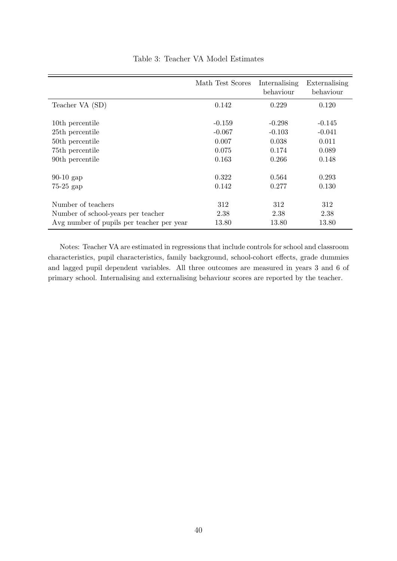|                                                                                 | Math Test Scores  | Internalising<br>behaviour | Externalising<br>behaviour |
|---------------------------------------------------------------------------------|-------------------|----------------------------|----------------------------|
| Teacher VA (SD)                                                                 | 0.142             | 0.229                      | 0.120                      |
| 10th percentile                                                                 | $-0.159$          | $-0.298$                   | $-0.145$                   |
| 25th percentile<br>50th percentile                                              | $-0.067$<br>0.007 | $-0.103$<br>0.038          | $-0.041$<br>0.011          |
| 75 <sup>th</sup> percentile<br>90th percentile                                  | 0.075<br>0.163    | 0.174<br>0.266             | 0.089<br>0.148             |
|                                                                                 |                   |                            |                            |
| $90-10$ gap<br>$75-25$ gap                                                      | 0.322<br>0.142    | 0.564<br>0.277             | 0.293<br>0.130             |
| Number of teachers                                                              | 312               | 312                        | 312                        |
| Number of school-years per teacher<br>Avg number of pupils per teacher per year | 2.38<br>13.80     | 2.38<br>13.80              | 2.38<br>13.80              |

Table 3: Teacher VA Model Estimates

Notes: Teacher VA are estimated in regressions that include controls for school and classroom characteristics, pupil characteristics, family background, school-cohort effects, grade dummies and lagged pupil dependent variables. All three outcomes are measured in years 3 and 6 of primary school. Internalising and externalising behaviour scores are reported by the teacher.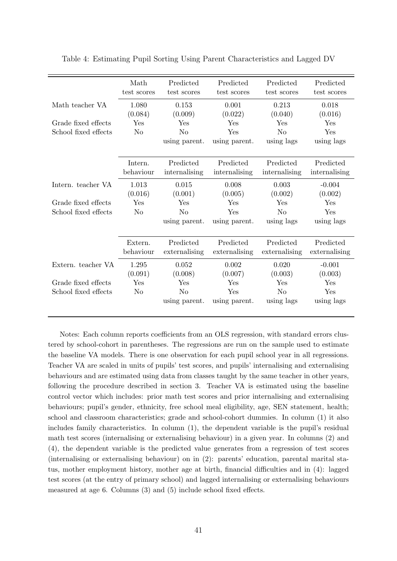|                      | Math<br>test scores  | Predicted<br>test scores   | Predicted<br>test scores   | Predicted<br>test scores   | Predicted<br>test scores   |
|----------------------|----------------------|----------------------------|----------------------------|----------------------------|----------------------------|
| Math teacher VA      | 1.080<br>(0.084)     | 0.153<br>(0.009)           | 0.001<br>(0.022)           | 0.213<br>(0.040)           | 0.018<br>(0.016)           |
| Grade fixed effects  | Yes                  | Yes                        | Yes                        | Yes                        | Yes                        |
| School fixed effects | N <sub>o</sub>       | N <sub>o</sub>             | Yes                        | N <sub>o</sub>             | Yes                        |
|                      |                      | using parent.              | using parent.              | using lags                 | using lags                 |
|                      | Intern.<br>behaviour | Predicted<br>internalising | Predicted<br>internalising | Predicted<br>internalising | Predicted<br>internalising |
| Intern. teacher VA   | 1.013                | 0.015                      | 0.008                      | 0.003                      | $-0.004$                   |
|                      | (0.016)              | (0.001)                    | (0.005)                    | (0.002)                    | (0.002)                    |
| Grade fixed effects  | Yes                  | Yes                        | Yes                        | Yes                        | Yes                        |
| School fixed effects | N <sub>o</sub>       | N <sub>o</sub>             | Yes                        | N <sub>o</sub>             | Yes                        |
|                      |                      | using parent.              | using parent.              | using lags                 | using lags                 |
|                      | Extern.<br>behaviour | Predicted<br>externalising | Predicted<br>externalising | Predicted<br>externalising | Predicted<br>externalising |
| Extern. teacher VA   | 1.295                | 0.052                      | 0.002                      | 0.020                      | $-0.001$                   |
|                      | (0.091)              | (0.008)                    | (0.007)                    | (0.003)                    | (0.003)                    |
| Grade fixed effects  | Yes                  | Yes                        | $\operatorname{Yes}$       | Yes                        | Yes                        |
| School fixed effects | N <sub>o</sub>       | N <sub>o</sub>             | Yes                        | N <sub>o</sub>             | Yes                        |
|                      |                      | using parent.              | using parent.              | using lags                 | using lags                 |

Table 4: Estimating Pupil Sorting Using Parent Characteristics and Lagged DV

Notes: Each column reports coefficients from an OLS regression, with standard errors clustered by school-cohort in parentheses. The regressions are run on the sample used to estimate the baseline VA models. There is one observation for each pupil school year in all regressions. Teacher VA are scaled in units of pupils' test scores, and pupils' internalising and externalising behaviours and are estimated using data from classes taught by the same teacher in other years, following the procedure described in section 3. Teacher VA is estimated using the baseline control vector which includes: prior math test scores and prior internalising and externalising behaviours; pupil's gender, ethnicity, free school meal eligibility, age, SEN statement, health; school and classroom characteristics; grade and school-cohort dummies. In column (1) it also includes family characteristics. In column (1), the dependent variable is the pupil's residual math test scores (internalising or externalising behaviour) in a given year. In columns (2) and (4), the dependent variable is the predicted value generates from a regression of test scores (internalising or externalising behaviour) on in (2): parents' education, parental marital status, mother employment history, mother age at birth, financial difficulties and in (4): lagged test scores (at the entry of primary school) and lagged internalising or externalising behaviours measured at age 6. Columns (3) and (5) include school fixed effects.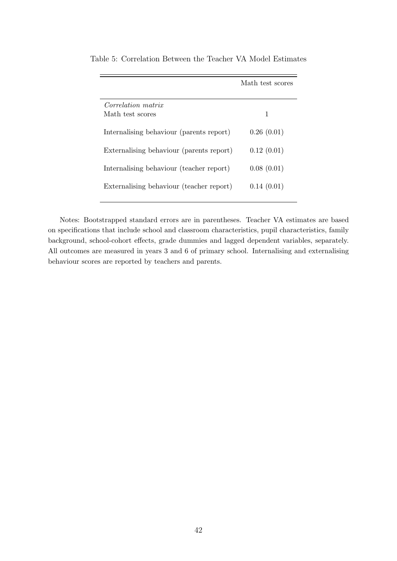|                                          | Math test scores |
|------------------------------------------|------------------|
| <i>Correlation matrix</i>                |                  |
| Math test scores                         | 1                |
| Internalising behaviour (parents report) | 0.26(0.01)       |
| Externalising behaviour (parents report) | 0.12(0.01)       |
| Internalising behaviour (teacher report) | 0.08(0.01)       |
| Externalising behaviour (teacher report) | 0.14(0.01)       |

Table 5: Correlation Between the Teacher VA Model Estimates

Notes: Bootstrapped standard errors are in parentheses. Teacher VA estimates are based on specifications that include school and classroom characteristics, pupil characteristics, family background, school-cohort effects, grade dummies and lagged dependent variables, separately. All outcomes are measured in years 3 and 6 of primary school. Internalising and externalising behaviour scores are reported by teachers and parents.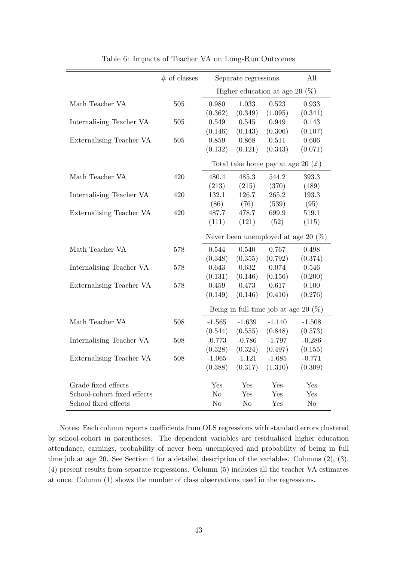|                             | $#$ of classes | Separate regressions              |                |                                                        | All                                    |
|-----------------------------|----------------|-----------------------------------|----------------|--------------------------------------------------------|----------------------------------------|
|                             |                | Higher education at age 20 $(\%)$ |                |                                                        |                                        |
| Math Teacher VA             | 505            | 0.980                             | 1.033          | 0.523                                                  | 0.933                                  |
|                             |                | (0.362)                           | (0.349)        | (1.095)                                                | (0.341)                                |
| Internalising Teacher VA    | 505            | 0.549                             | 0.545          | 0.949                                                  | 0.143                                  |
|                             |                | (0.146)                           | (0.143)        | (0.306)                                                | (0.107)                                |
| Externalising Teacher VA    | 505            | 0.859                             | 0.868          | 0.511                                                  | 0.606                                  |
|                             |                | (0.132)                           | (0.121)        | (0.343)                                                | (0.071)                                |
|                             |                |                                   |                | Total take home pay at age 20 $(\text{\textsterling})$ |                                        |
| Math Teacher VA             | 420            | 480.4                             | 485.3          | 544.2                                                  | 393.3                                  |
|                             |                | (213)                             | (215)          | (370)                                                  | (189)                                  |
| Internalising Teacher VA    | 420            | 132.1                             | 126.7          | 265.2                                                  | 193.3                                  |
|                             |                | (86)                              | (76)           | (539)                                                  | (95)                                   |
| Externalising Teacher VA    | 420            | 487.7                             | 478.7          | 699.9                                                  | 519.1                                  |
|                             |                | (111)                             | (121)          | (52)                                                   | (115)                                  |
|                             |                |                                   |                |                                                        | Never been unemployed at age 20 $(\%)$ |
| Math Teacher VA             | 578            | 0.544                             | 0.540          | 0.767                                                  | 0.498                                  |
|                             |                | (0.348)                           | (0.355)        | (0.792)                                                | (0.374)                                |
| Internalising Teacher VA    | 578            | 0.643                             | 0.632          | 0.074                                                  | 0.546                                  |
|                             |                | (0.131)                           | (0.146)        | (0.156)                                                | (0.200)                                |
| Externalising Teacher VA    | 578            | 0.459                             | 0.473          | 0.617                                                  | 0.100                                  |
|                             |                | (0.149)                           | (0.146)        | (0.410)                                                | (0.276)                                |
|                             |                |                                   |                | Being in full-time job at age 20 $(\%)$                |                                        |
| Math Teacher VA             | 508            | $-1.565$                          | $-1.639$       | $-1.140$                                               | $-1.508$                               |
|                             |                | (0.544)                           | (0.555)        | (0.848)                                                | (0.573)                                |
| Internalising Teacher VA    | 508            | $-0.773$                          | $-0.786$       | $-1.797$                                               | $-0.286$                               |
|                             |                | (0.328)                           | (0.324)        | (0.497)                                                | (0.155)                                |
| Externalising Teacher VA    | 508            | $-1.065$                          | $-1.121$       | $-1.685$                                               | $-0.771$                               |
|                             |                | (0.388)                           | (0.317)        | (1.310)                                                | (0.309)                                |
|                             |                |                                   |                |                                                        |                                        |
| Grade fixed effects         |                | Yes                               | Yes            | Yes                                                    | Yes                                    |
| School-cohort fixed effects |                | N <sub>o</sub>                    | Yes            | Yes                                                    | Yes                                    |
| School fixed effects        |                | N <sub>o</sub>                    | N <sub>o</sub> | Yes                                                    | N <sub>o</sub>                         |

Table 6: Impacts of Teacher VA on Long-Run Outcomes

Notes: Each column reports coefficients from OLS regressions with standard errors clustered by school-cohort in parentheses. The dependent variables are residualised higher education attendance, earnings, probability of never been unemployed and probability of being in full time job at age 20. See Section 4 for a detailed description of the variables. Columns (2), (3), (4) present results from separate regressions. Column (5) includes all the teacher VA estimates at once. Column (1) shows the number of class observations used in the regressions.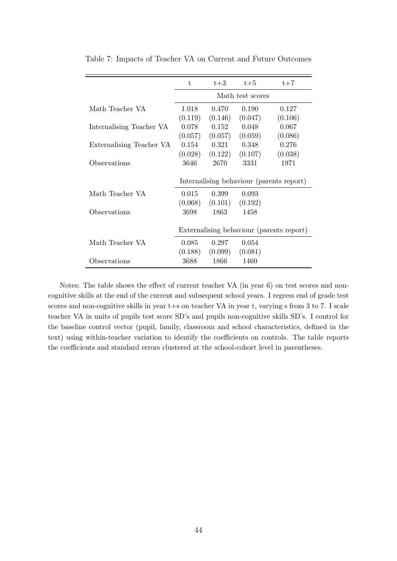|                          | t.               | $t+3$   | $t+5$   | $t+7$                                    |  |  |
|--------------------------|------------------|---------|---------|------------------------------------------|--|--|
|                          | Math test scores |         |         |                                          |  |  |
|                          |                  |         |         |                                          |  |  |
| Math Teacher VA          | 1.018            | 0.470   | 0.190   | 0.127                                    |  |  |
|                          | (0.119)          | (0.146) | (0.047) | (0.106)                                  |  |  |
| Internalising Teacher VA | 0.078            | 0.152   | 0.048   | 0.067                                    |  |  |
|                          | (0.057)          | (0.057) | (0.059) | (0.086)                                  |  |  |
| Externalising Teacher VA | 0.154            | 0.321   | 0.348   | 0.276                                    |  |  |
|                          | (0.028)          | (0.122) | (0.107) | (0.038)                                  |  |  |
| Observations             | 3646             | 2670    | 3331    | 1971                                     |  |  |
|                          |                  |         |         | Internalising behaviour (parents report) |  |  |
| Math Teacher VA          | 0.015            | 0.399   | 0.093   |                                          |  |  |
|                          | (0.068)          | (0.101) | (0.192) |                                          |  |  |
| Observations             | 3698             | 1863    | 1458    |                                          |  |  |
|                          |                  |         |         | Externalising behaviour (parents report) |  |  |
| Math Teacher VA          | 0.085            | 0.297   | 0.054   |                                          |  |  |
|                          | (0.188)          | (0.099) | (0.081) |                                          |  |  |
| Observations             | 3688             | 1866    | 1460    |                                          |  |  |

Table 7: Impacts of Teacher VA on Current and Future Outcomes

Notes: The table shows the effect of current teacher VA (in year 6) on test scores and noncognitive skills at the end of the current and subsequent school years. I regress end of grade test scores and non-cognitive skills in year  $t+s$  on teacher VA in year t, varying s from 3 to 7. I scale teacher VA in units of pupils test score SD's and pupils non-cognitive skills SD's. I control for the baseline control vector (pupil, family, classroom and school characteristics, defined in the text) using within-teacher variation to identify the coefficients on controls. The table reports the coefficients and standard errors clustered at the school-cohort level in parentheses.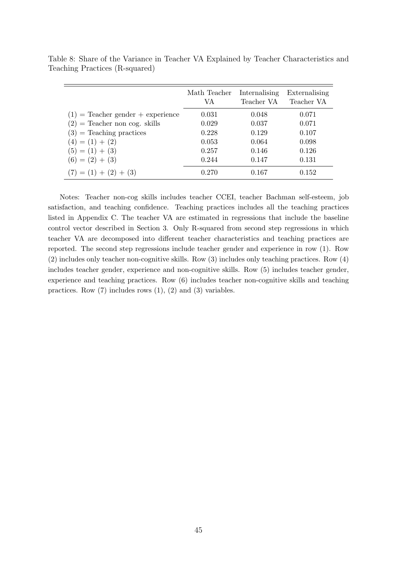|                                     | Math Teacher<br>VA | Internalising<br>Teacher VA | Externalising<br>Teacher VA |
|-------------------------------------|--------------------|-----------------------------|-----------------------------|
| $(1)$ = Teacher gender + experience | 0.031              | 0.048                       | 0.071                       |
| $(2)$ = Teacher non cog. skills     | 0.029              | 0.037                       | 0.071                       |
| $(3)$ = Teaching practices          | 0.228              | 0.129                       | 0.107                       |
| $(4) = (1) + (2)$                   | 0.053              | 0.064                       | 0.098                       |
| $(5) = (1) + (3)$                   | 0.257              | 0.146                       | 0.126                       |
| $(6) = (2) + (3)$                   | 0.244              | 0.147                       | 0.131                       |
| $(7) = (1) + (2) + (3)$             | 0.270              | 0.167                       | 0.152                       |

Table 8: Share of the Variance in Teacher VA Explained by Teacher Characteristics and Teaching Practices (R-squared)

Notes: Teacher non-cog skills includes teacher CCEI, teacher Bachman self-esteem, job satisfaction, and teaching confidence. Teaching practices includes all the teaching practices listed in Appendix C. The teacher VA are estimated in regressions that include the baseline control vector described in Section 3. Only R-squared from second step regressions in which teacher VA are decomposed into different teacher characteristics and teaching practices are reported. The second step regressions include teacher gender and experience in row (1). Row (2) includes only teacher non-cognitive skills. Row (3) includes only teaching practices. Row (4) includes teacher gender, experience and non-cognitive skills. Row (5) includes teacher gender, experience and teaching practices. Row (6) includes teacher non-cognitive skills and teaching practices. Row  $(7)$  includes rows  $(1)$ ,  $(2)$  and  $(3)$  variables.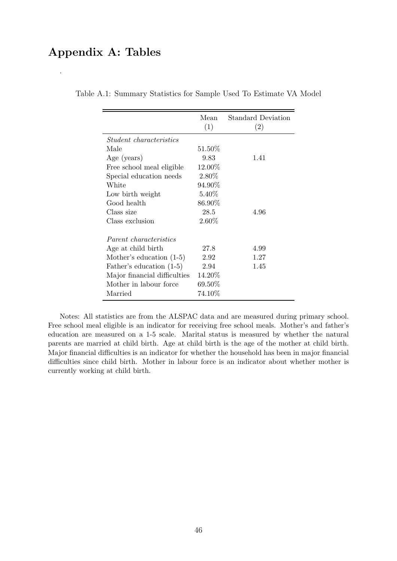# Appendix A: Tables

.

|                                | Mean<br>(1) | <b>Standard Deviation</b><br>(2) |
|--------------------------------|-------------|----------------------------------|
| <i>Student characteristics</i> |             |                                  |
| Male                           | 51.50%      |                                  |
| Age (years)                    | 9.83        | 1.41                             |
| Free school meal eligible      | 12.00%      |                                  |
| Special education needs        | 2.80%       |                                  |
| White                          | 94.90%      |                                  |
| Low birth weight               | 5.40%       |                                  |
| Good health                    | 86.90%      |                                  |
| Class size                     | 28.5        | 4.96                             |
| Class exclusion                | $2.60\%$    |                                  |
| <i>Parent characteristics</i>  |             |                                  |
| Age at child birth             | 27.8        | 4.99                             |
| Mother's education $(1-5)$     | 2.92        | 1.27                             |
| Father's education (1-5)       | 2.94        | 1.45                             |
| Major financial difficulties   | 14.20%      |                                  |
| Mother in labour force         | 69.50%      |                                  |
| Married                        | 74.10%      |                                  |

Table A.1: Summary Statistics for Sample Used To Estimate VA Model

Notes: All statistics are from the ALSPAC data and are measured during primary school. Free school meal eligible is an indicator for receiving free school meals. Mother's and father's education are measured on a 1-5 scale. Marital status is measured by whether the natural parents are married at child birth. Age at child birth is the age of the mother at child birth. Major financial difficulties is an indicator for whether the household has been in major financial difficulties since child birth. Mother in labour force is an indicator about whether mother is currently working at child birth.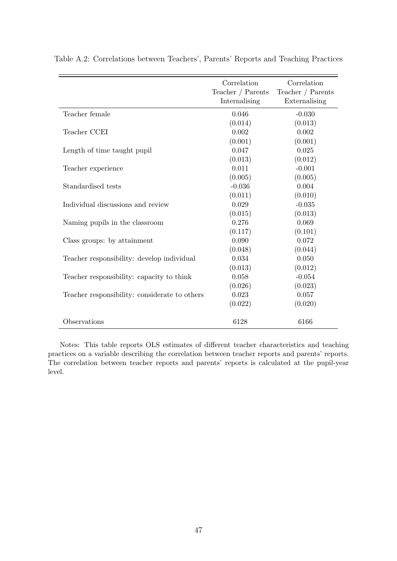|                                               | Correlation<br>Teacher / Parents<br>Internalising | Correlation<br>Teacher $/$ Parents<br>Externalising |
|-----------------------------------------------|---------------------------------------------------|-----------------------------------------------------|
| Teacher female                                | 0.046                                             | $-0.030$                                            |
|                                               | (0.014)                                           | (0.013)                                             |
| Teacher CCEI                                  | 0.002                                             | 0.002                                               |
|                                               | (0.001)                                           | (0.001)                                             |
| Length of time taught pupil                   | 0.047                                             | 0.025                                               |
|                                               | (0.013)                                           | (0.012)                                             |
| Teacher experience                            | 0.011                                             | $-0.001$                                            |
|                                               | (0.005)                                           | (0.005)                                             |
| Standardised tests                            | $-0.036$                                          | 0.004                                               |
|                                               | (0.011)                                           | (0.010)                                             |
| Individual discussions and review             | 0.029                                             | $-0.035$                                            |
|                                               | (0.015)                                           | (0.013)                                             |
| Naming pupils in the classroom                | 0.276                                             | 0.069                                               |
|                                               | (0.117)                                           | (0.101)                                             |
| Class groups: by attainment                   | 0.090                                             | 0.072                                               |
|                                               | (0.048)                                           | (0.044)                                             |
| Teacher responsibility: develop individual    | 0.034                                             | 0.050                                               |
|                                               | (0.013)                                           | (0.012)                                             |
| Teacher responsibility: capacity to think     | 0.058                                             | $-0.054$                                            |
|                                               | (0.026)                                           | (0.023)                                             |
| Teacher responsibility: considerate to others | 0.023                                             | 0.057                                               |
|                                               | (0.022)                                           | (0.020)                                             |
| Observations                                  | 6128                                              | 6166                                                |

Table A.2: Correlations between Teachers', Parents' Reports and Teaching Practices

Notes: This table reports OLS estimates of different teacher characteristics and teaching practices on a variable describing the correlation between teacher reports and parents' reports. The correlation between teacher reports and parents' reports is calculated at the pupil-year level.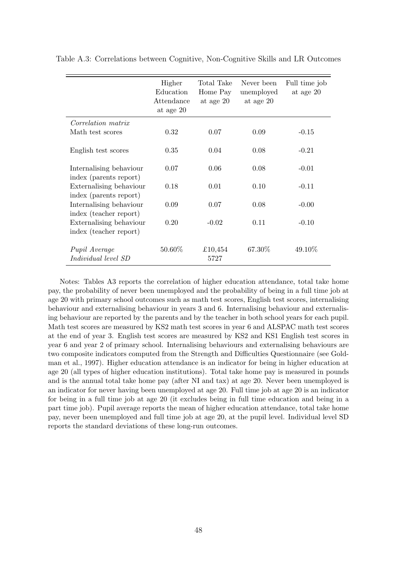|                                                   | Higher<br>Education<br>Attendance<br>at age 20 | Total Take<br>Home Pay<br>at age 20 | Never been<br>unemployed<br>at age 20 | Full time job<br>at age 20 |
|---------------------------------------------------|------------------------------------------------|-------------------------------------|---------------------------------------|----------------------------|
| <i>Correlation matrix</i>                         |                                                |                                     |                                       |                            |
| Math test scores                                  | 0.32                                           | 0.07                                | 0.09                                  | $-0.15$                    |
| English test scores                               | 0.35                                           | 0.04                                | 0.08                                  | $-0.21$                    |
| Internalising behaviour<br>index (parents report) | 0.07                                           | 0.06                                | 0.08                                  | $-0.01$                    |
| Externalising behaviour<br>index (parents report) | 0.18                                           | 0.01                                | 0.10                                  | $-0.11$                    |
| Internalising behaviour<br>index (teacher report) | 0.09                                           | 0.07                                | 0.08                                  | $-0.00$                    |
| Externalising behaviour<br>index (teacher report) | 0.20                                           | $-0.02$                             | 0.11                                  | $-0.10$                    |
| Pupil Average<br><i>Individual level SD</i>       | 50.60%                                         | £10,454<br>5727                     | 67.30%                                | 49.10%                     |

Table A.3: Correlations between Cognitive, Non-Cognitive Skills and LR Outcomes

Notes: Tables A3 reports the correlation of higher education attendance, total take home pay, the probability of never been unemployed and the probability of being in a full time job at age 20 with primary school outcomes such as math test scores, English test scores, internalising behaviour and externalising behaviour in years 3 and 6. Internalising behaviour and externalising behaviour are reported by the parents and by the teacher in both school years for each pupil. Math test scores are measured by KS2 math test scores in year 6 and ALSPAC math test scores at the end of year 3. English test scores are measured by KS2 and KS1 English test scores in year 6 and year 2 of primary school. Internalising behaviours and externalising behaviours are two composite indicators computed from the Strength and Difficulties Questionnaire (see Goldman et al., 1997). Higher education attendance is an indicator for being in higher education at age 20 (all types of higher education institutions). Total take home pay is measured in pounds and is the annual total take home pay (after NI and tax) at age 20. Never been unemployed is an indicator for never having been unemployed at age 20. Full time job at age 20 is an indicator for being in a full time job at age 20 (it excludes being in full time education and being in a part time job). Pupil average reports the mean of higher education attendance, total take home pay, never been unemployed and full time job at age 20, at the pupil level. Individual level SD reports the standard deviations of these long-run outcomes.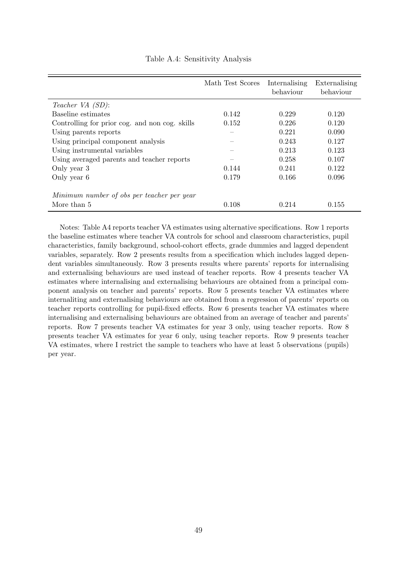|                                                | Math Test Scores | Internalising<br>behaviour | Externalising<br>behaviour |
|------------------------------------------------|------------------|----------------------------|----------------------------|
| Teacher VA (SD):                               |                  |                            |                            |
| Baseline estimates                             | 0.142            | 0.229                      | 0.120                      |
| Controlling for prior cog. and non cog. skills | 0.152            | 0.226                      | 0.120                      |
| Using parents reports                          |                  | 0.221                      | 0.090                      |
| Using principal component analysis             |                  | 0.243                      | 0.127                      |
| Using instrumental variables                   |                  | 0.213                      | 0.123                      |
| Using averaged parents and teacher reports     |                  | 0.258                      | 0.107                      |
| Only year 3                                    | 0.144            | 0.241                      | 0.122                      |
| Only year 6                                    | 0.179            | 0.166                      | 0.096                      |
| Minimum number of obs per teacher per year     |                  |                            |                            |
| More than 5                                    | 0.108            | 0.214                      | 0.155                      |

Table A.4: Sensitivity Analysis

Notes: Table A4 reports teacher VA estimates using alternative specifications. Row 1 reports the baseline estimates where teacher VA controls for school and classroom characteristics, pupil characteristics, family background, school-cohort effects, grade dummies and lagged dependent variables, separately. Row 2 presents results from a specification which includes lagged dependent variables simultaneously. Row 3 presents results where parents' reports for internalising and externalising behaviours are used instead of teacher reports. Row 4 presents teacher VA estimates where internalising and externalising behaviours are obtained from a principal component analysis on teacher and parents' reports. Row 5 presents teacher VA estimates where internaliting and externalising behaviours are obtained from a regression of parents' reports on teacher reports controlling for pupil-fixed effects. Row 6 presents teacher VA estimates where internalising and externalising behaviours are obtained from an average of teacher and parents' reports. Row 7 presents teacher VA estimates for year 3 only, using teacher reports. Row 8 presents teacher VA estimates for year 6 only, using teacher reports. Row 9 presents teacher VA estimates, where I restrict the sample to teachers who have at least 5 observations (pupils) per year.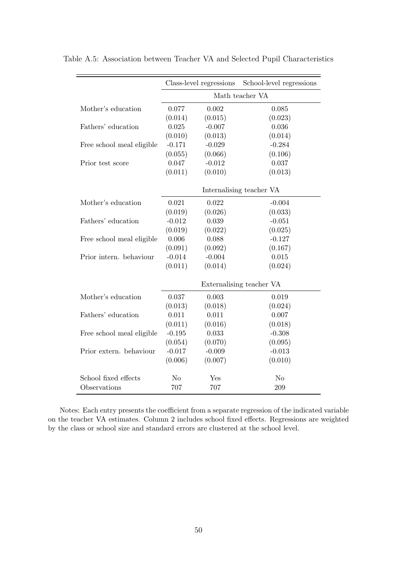|                           | Class-level regressions |          | School-level regressions |  |  |
|---------------------------|-------------------------|----------|--------------------------|--|--|
|                           | Math teacher VA         |          |                          |  |  |
| Mother's education        | 0.077                   | 0.002    | 0.085                    |  |  |
|                           | (0.014)                 | (0.015)  | (0.023)                  |  |  |
| Fathers' education        | 0.025                   | $-0.007$ | 0.036                    |  |  |
|                           | (0.010)                 | (0.013)  | (0.014)                  |  |  |
| Free school meal eligible | $-0.171$                | $-0.029$ | $-0.284$                 |  |  |
|                           | (0.055)                 | (0.066)  | (0.106)                  |  |  |
| Prior test score          | 0.047                   | $-0.012$ | 0.037                    |  |  |
|                           | (0.011)                 | (0.010)  | (0.013)                  |  |  |
|                           |                         |          | Internalising teacher VA |  |  |
| Mother's education        | 0.021                   | 0.022    | $-0.004$                 |  |  |
|                           | (0.019)                 | (0.026)  | (0.033)                  |  |  |
| Fathers' education        | $-0.012$                | 0.039    | $-0.051$                 |  |  |
|                           | (0.019)                 | (0.022)  | (0.025)                  |  |  |
| Free school meal eligible | 0.006                   | 0.088    | $-0.127$                 |  |  |
|                           | (0.091)                 | (0.092)  | (0.167)                  |  |  |
| Prior intern. behaviour   | $-0.014$                | $-0.004$ | 0.015                    |  |  |
|                           | (0.011)                 | (0.014)  | (0.024)                  |  |  |
|                           |                         |          | Externalising teacher VA |  |  |
| Mother's education        | 0.037                   | 0.003    | 0.019                    |  |  |
|                           | (0.013)                 | (0.018)  | (0.024)                  |  |  |
| Fathers' education        | 0.011                   | 0.011    | 0.007                    |  |  |
|                           | (0.011)                 | (0.016)  | (0.018)                  |  |  |
| Free school meal eligible | $-0.195$                | 0.033    | $-0.308$                 |  |  |
|                           | (0.054)                 | (0.070)  | (0.095)                  |  |  |
| Prior extern. behaviour   | $-0.017$                | $-0.009$ | $-0.013$                 |  |  |
|                           | (0.006)                 | (0.007)  | (0.010)                  |  |  |
| School fixed effects      | N <sub>o</sub>          | Yes      | N <sub>o</sub>           |  |  |
| Observations              | 707                     | 707      | 209                      |  |  |

Table A.5: Association between Teacher VA and Selected Pupil Characteristics

Notes: Each entry presents the coefficient from a separate regression of the indicated variable on the teacher VA estimates. Column 2 includes school fixed effects. Regressions are weighted by the class or school size and standard errors are clustered at the school level.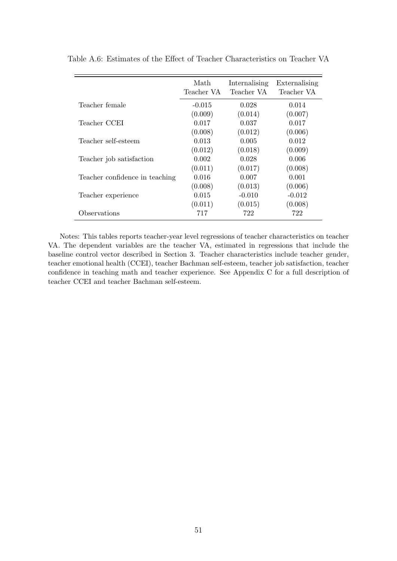|                                | Math<br>Teacher VA | Internalising<br>Teacher VA | Externalising<br>Teacher VA |
|--------------------------------|--------------------|-----------------------------|-----------------------------|
| Teacher female                 | $-0.015$           | 0.028                       | 0.014                       |
|                                | (0.009)            | (0.014)                     | (0.007)                     |
| Teacher CCEI                   | 0.017              | 0.037                       | 0.017                       |
|                                | (0.008)            | (0.012)                     | (0.006)                     |
| Teacher self-esteem            | 0.013              | 0.005                       | 0.012                       |
|                                | (0.012)            | (0.018)                     | (0.009)                     |
| Teacher job satisfaction       | 0.002              | 0.028                       | 0.006                       |
|                                | (0.011)            | (0.017)                     | (0.008)                     |
| Teacher confidence in teaching | 0.016              | 0.007                       | 0.001                       |
|                                | (0.008)            | (0.013)                     | (0.006)                     |
| Teacher experience             | 0.015              | $-0.010$                    | $-0.012$                    |
|                                | (0.011)            | (0.015)                     | (0.008)                     |
| Observations                   | 717                | 722                         | 722                         |

Table A.6: Estimates of the Effect of Teacher Characteristics on Teacher VA

Notes: This tables reports teacher-year level regressions of teacher characteristics on teacher VA. The dependent variables are the teacher VA, estimated in regressions that include the baseline control vector described in Section 3. Teacher characteristics include teacher gender, teacher emotional health (CCEI), teacher Bachman self-esteem, teacher job satisfaction, teacher confidence in teaching math and teacher experience. See Appendix C for a full description of teacher CCEI and teacher Bachman self-esteem.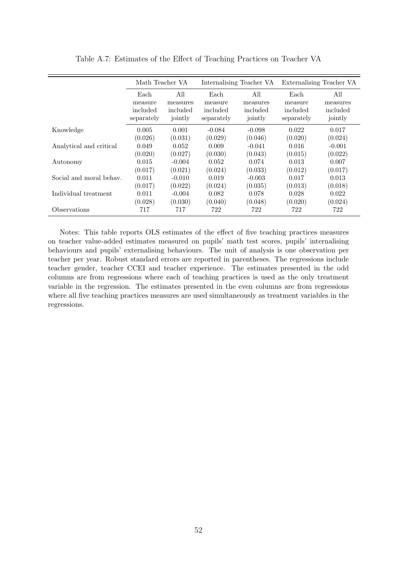|                            | Math Teacher VA |          | Internalising Teacher VA |          | Externalising Teacher VA |          |  |
|----------------------------|-----------------|----------|--------------------------|----------|--------------------------|----------|--|
|                            | Each            | All      | Each                     | All      | Each                     | All      |  |
|                            | measure         | measures | measure                  | measures | measure                  | measures |  |
|                            | included        | included | included                 | included | included                 | included |  |
|                            | separately      | jointly  | separately               | jointly  | separately               | jointly  |  |
| Knowledge                  | 0.005           | 0.001    | $-0.084$                 | $-0.098$ | 0.022                    | 0.017    |  |
|                            | (0.026)         | (0.031)  | (0.029)                  | (0.046)  | (0.020)                  | (0.024)  |  |
| Analytical and critical    | 0.049           | 0.052    | 0.009                    | $-0.041$ | 0.016                    | $-0.001$ |  |
|                            | (0.020)         | (0.027)  | (0.030)                  | (0.043)  | (0.015)                  | (0.022)  |  |
| Autonomy                   | 0.015           | $-0.004$ | 0.052                    | 0.074    | 0.013                    | 0.007    |  |
|                            | (0.017)         | (0.021)  | (0.024)                  | (0.033)  | (0.012)                  | (0.017)  |  |
| Social and moral behav.    | 0.011           | $-0.010$ | 0.019                    | $-0.003$ | 0.017                    | 0.013    |  |
|                            | (0.017)         | (0.022)  | (0.024)                  | (0.035)  | (0.013)                  | (0.018)  |  |
| Individual treatment       | 0.011           | $-0.004$ | 0.082                    | 0.078    | 0.028                    | 0.022    |  |
|                            | (0.028)         | (0.030)  | (0.040)                  | (0.048)  | (0.020)                  | (0.024)  |  |
| <i><b>Observations</b></i> | 717             | 717      | 722                      | 722      | 722                      | 722      |  |

Table A.7: Estimates of the Effect of Teaching Practices on Teacher VA

Notes: This table reports OLS estimates of the effect of five teaching practices measures on teacher value-added estimates measured on pupils' math test scores, pupils' internalising behaviours and pupils' externalising behaviours. The unit of analysis is one observation per teacher per year. Robust standard errors are reported in parentheses. The regressions include teacher gender, teacher CCEI and teacher experience. The estimates presented in the odd columns are from regressions where each of teaching practices is used as the only treatment variable in the regression. The estimates presented in the even columns are from regressions where all five teaching practices measures are used simultaneously as treatment variables in the regressions.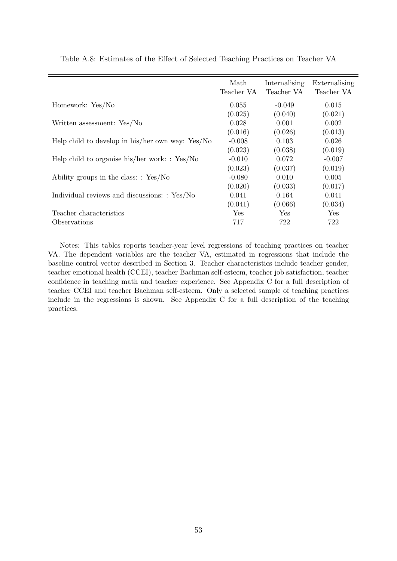|                                                    | Math<br>Teacher VA | Internalising<br>Teacher VA | Externalising<br>Teacher VA |
|----------------------------------------------------|--------------------|-----------------------------|-----------------------------|
| Homework: Yes/No                                   | 0.055              | $-0.049$                    | 0.015                       |
|                                                    | (0.025)            | (0.040)                     | (0.021)                     |
| Written assessment: Yes/No                         | 0.028              | 0.001                       | 0.002                       |
|                                                    | (0.016)            | (0.026)                     | (0.013)                     |
| Help child to develop in his/her own way: $Yes/No$ | $-0.008$           | 0.103                       | 0.026                       |
|                                                    | (0.023)            | (0.038)                     | (0.019)                     |
| Help child to organise his/her work: $: Yes/No$    | $-0.010$           | 0.072                       | $-0.007$                    |
|                                                    | (0.023)            | (0.037)                     | (0.019)                     |
| Ability groups in the class: $: Yes/No$            | $-0.080$           | 0.010                       | 0.005                       |
|                                                    | (0.020)            | (0.033)                     | (0.017)                     |
| Individual reviews and discussions: : Yes/No       | 0.041              | 0.164                       | 0.041                       |
|                                                    | (0.041)            | (0.066)                     | (0.034)                     |
| Teacher characteristics                            | Yes                | <b>Yes</b>                  | Yes                         |
| Observations                                       | 717                | 722                         | 722                         |

Table A.8: Estimates of the Effect of Selected Teaching Practices on Teacher VA

Notes: This tables reports teacher-year level regressions of teaching practices on teacher VA. The dependent variables are the teacher VA, estimated in regressions that include the baseline control vector described in Section 3. Teacher characteristics include teacher gender, teacher emotional health (CCEI), teacher Bachman self-esteem, teacher job satisfaction, teacher confidence in teaching math and teacher experience. See Appendix C for a full description of teacher CCEI and teacher Bachman self-esteem. Only a selected sample of teaching practices include in the regressions is shown. See Appendix C for a full description of the teaching practices.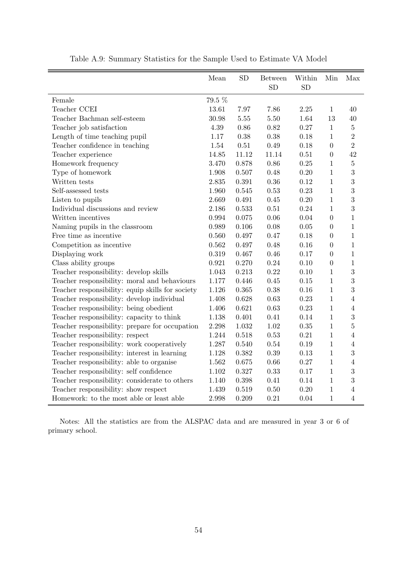|                                                  | Mean   | SD       | <b>Between</b><br><b>SD</b> | Within<br><b>SD</b> | Min              | Max            |
|--------------------------------------------------|--------|----------|-----------------------------|---------------------|------------------|----------------|
| Female                                           | 79.5 % |          |                             |                     |                  |                |
| Teacher CCEI                                     | 13.61  | 7.97     | 7.86                        | 2.25                | $\mathbf{1}$     | 40             |
| Teacher Bachman self-esteem                      | 30.98  | $5.55\,$ | 5.50                        | 1.64                | 13               | 40             |
| Teacher job satisfaction                         | 4.39   | 0.86     | 0.82                        | 0.27                | $\mathbf{1}$     | $\overline{5}$ |
| Length of time teaching pupil                    | 1.17   | 0.38     | 0.38                        | 0.18                | 1                | $\overline{2}$ |
| Teacher confidence in teaching                   | 1.54   | $0.51\,$ | 0.49                        | 0.18                | $\overline{0}$   | $\overline{2}$ |
| Teacher experience                               | 14.85  | 11.12    | 11.14                       | 0.51                | $\boldsymbol{0}$ | 42             |
| Homework frequency                               | 3.470  | 0.878    | 0.86                        | 0.25                | $\mathbf{1}$     | $\overline{5}$ |
| Type of homework                                 | 1.908  | 0.507    | 0.48                        | 0.20                | $\mathbf{1}$     | 3              |
| Written tests                                    | 2.835  | 0.391    | 0.36                        | 0.12                | $\mathbf{1}$     | 3              |
| Self-assessed tests                              | 1.960  | 0.545    | 0.53                        | 0.23                | $\mathbf{1}$     | 3              |
| Listen to pupils                                 | 2.669  | 0.491    | 0.45                        | 0.20                | $\mathbf{1}$     | 3              |
| Individual discussions and review                | 2.186  | 0.533    | 0.51                        | 0.24                | $\mathbf{1}$     | 3              |
| Written incentives                               | 0.994  | 0.075    | 0.06                        | 0.04                | $\overline{0}$   | $\mathbf{1}$   |
| Naming pupils in the classroom                   | 0.989  | 0.106    | 0.08                        | 0.05                | $\boldsymbol{0}$ | $\mathbf{1}$   |
| Free time as incentive                           | 0.560  | 0.497    | 0.47                        | 0.18                | $\boldsymbol{0}$ | $\mathbf{1}$   |
| Competition as incentive                         | 0.562  | 0.497    | 0.48                        | 0.16                | $\overline{0}$   | $\mathbf{1}$   |
| Displaying work                                  | 0.319  | 0.467    | 0.46                        | 0.17                | $\overline{0}$   | $\mathbf{1}$   |
| Class ability groups                             | 0.921  | 0.270    | 0.24                        | 0.10                | $\overline{0}$   | $\mathbf{1}$   |
| Teacher responsibility: develop skills           | 1.043  | 0.213    | 0.22                        | 0.10                | $\mathbf{1}$     | 3              |
| Teacher responsibility: moral and behaviours     | 1.177  | 0.446    | 0.45                        | 0.15                | $\mathbf{1}$     | 3              |
| Teacher responsibility: equip skills for society | 1.126  | 0.365    | 0.38                        | 0.16                | $\mathbf{1}$     | 3              |
| Teacher responsibility: develop individual       | 1.408  | 0.628    | 0.63                        | 0.23                | $\mathbf{1}$     | $\overline{4}$ |
| Teacher responsibility: being obedient           | 1.406  | 0.621    | 0.63                        | 0.23                | $\mathbf{1}$     | $\overline{4}$ |
| Teacher responsibility: capacity to think        | 1.138  | 0.401    | 0.41                        | 0.14                | $\mathbf{1}$     | 3              |
| Teacher responsibility: prepare for occupation   | 2.298  | 1.032    | $1.02\,$                    | 0.35                | $\mathbf{1}$     | $\overline{5}$ |
| Teacher responsibility: respect                  | 1.244  | 0.518    | 0.53                        | 0.21                | $\mathbf{1}$     | $\overline{4}$ |
| Teacher responsibility: work cooperatively       | 1.287  | 0.540    | 0.54                        | 0.19                | $\mathbf{1}$     | $\overline{4}$ |
| Teacher responsibility: interest in learning     | 1.128  | 0.382    | 0.39                        | 0.13                | $\mathbf{1}$     | 3              |
| Teacher responsibility: able to organise         | 1.562  | 0.675    | 0.66                        | 0.27                | $\mathbf{1}$     | $\overline{4}$ |
| Teacher responsibility: self confidence          | 1.102  | 0.327    | 0.33                        | 0.17                | $\mathbf{1}$     | 3              |
| Teacher responsibility: considerate to others    | 1.140  | 0.398    | 0.41                        | 0.14                | $\mathbf{1}$     | 3              |
| Teacher responsibility: show respect             | 1.439  | 0.519    | $0.50\,$                    | 0.20                | $\mathbf{1}$     | $\overline{4}$ |
| Homework: to the most able or least able         | 2.998  | 0.209    | 0.21                        | 0.04                | $\mathbf{1}$     | $\overline{4}$ |

Table A.9: Summary Statistics for the Sample Used to Estimate VA Model

Notes: All the statistics are from the ALSPAC data and are measured in year 3 or 6 of primary school.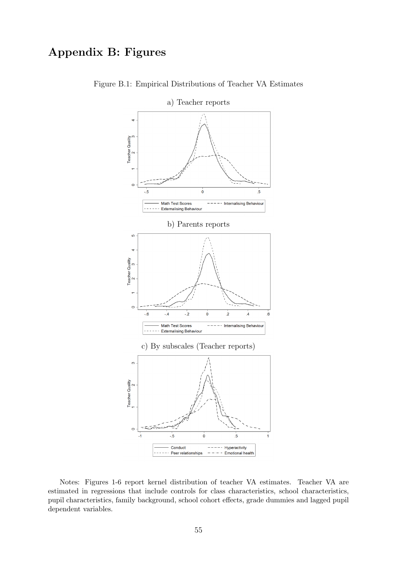# Appendix B: Figures



Figure B.1: Empirical Distributions of Teacher VA Estimates

Notes: Figures 1-6 report kernel distribution of teacher VA estimates. Teacher VA are estimated in regressions that include controls for class characteristics, school characteristics, pupil characteristics, family background, school cohort effects, grade dummies and lagged pupil dependent variables.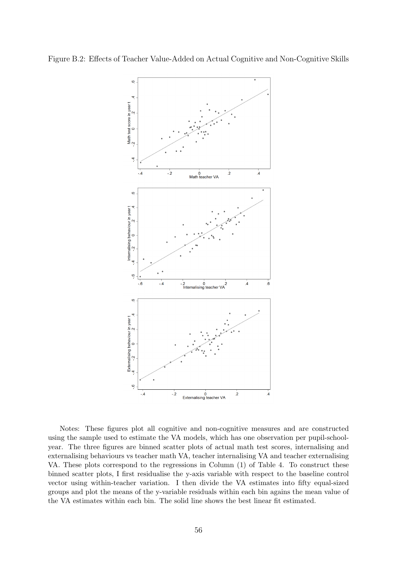

Notes: These figures plot all cognitive and non-cognitive measures and are constructed using the sample used to estimate the VA models, which has one observation per pupil-schoolyear. The three figures are binned scatter plots of actual math test scores, internalising and externalising behaviours vs teacher math VA, teacher internalising VA and teacher externalising VA. These plots correspond to the regressions in Column (1) of Table 4. To construct these binned scatter plots, I first residualise the y-axis variable with respect to the baseline control vector using within-teacher variation. I then divide the VA estimates into fifty equal-sized groups and plot the means of the y-variable residuals within each bin agains the mean value of the VA estimates within each bin. The solid line shows the best linear fit estimated.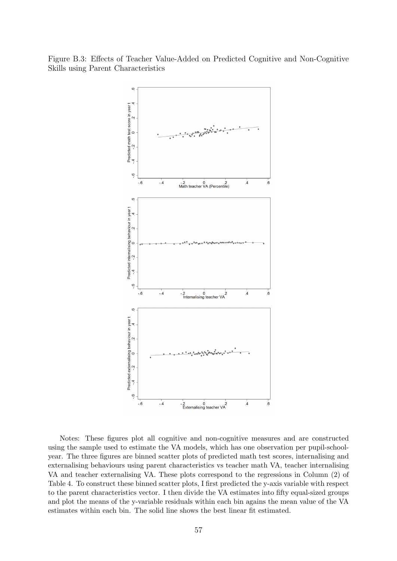Figure B.3: Effects of Teacher Value-Added on Predicted Cognitive and Non-Cognitive Skills using Parent Characteristics



Notes: These figures plot all cognitive and non-cognitive measures and are constructed using the sample used to estimate the VA models, which has one observation per pupil-schoolyear. The three figures are binned scatter plots of predicted math test scores, internalising and externalising behaviours using parent characteristics vs teacher math VA, teacher internalising VA and teacher externalising VA. These plots correspond to the regressions in Column (2) of Table 4. To construct these binned scatter plots, I first predicted the y-axis variable with respect to the parent characteristics vector. I then divide the VA estimates into fifty equal-sized groups and plot the means of the y-variable residuals within each bin agains the mean value of the VA estimates within each bin. The solid line shows the best linear fit estimated.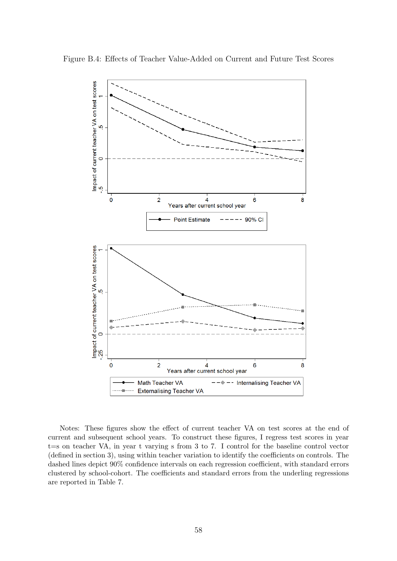

Figure B.4: Effects of Teacher Value-Added on Current and Future Test Scores

Notes: These figures show the effect of current teacher VA on test scores at the end of current and subsequent school years. To construct these figures, I regress test scores in year t=s on teacher VA, in year t varying s from 3 to 7. I control for the baseline control vector (defined in section 3), using within teacher variation to identify the coefficients on controls. The dashed lines depict 90% confidence intervals on each regression coefficient, with standard errors clustered by school-cohort. The coefficients and standard errors from the underling regressions are reported in Table 7.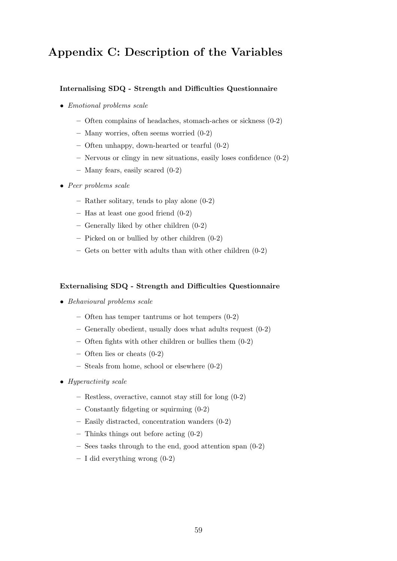# Appendix C: Description of the Variables

### Internalising SDQ - Strength and Difficulties Questionnaire

- Emotional problems scale
	- Often complains of headaches, stomach-aches or sickness (0-2)
	- Many worries, often seems worried (0-2)
	- Often unhappy, down-hearted or tearful (0-2)
	- Nervous or clingy in new situations, easily loses confidence (0-2)
	- Many fears, easily scared (0-2)
- Peer problems scale
	- Rather solitary, tends to play alone (0-2)
	- Has at least one good friend (0-2)
	- Generally liked by other children (0-2)
	- Picked on or bullied by other children (0-2)
	- Gets on better with adults than with other children (0-2)

#### Externalising SDQ - Strength and Difficulties Questionnaire

- Behavioural problems scale
	- Often has temper tantrums or hot tempers (0-2)
	- Generally obedient, usually does what adults request (0-2)
	- Often fights with other children or bullies them (0-2)
	- Often lies or cheats (0-2)
	- Steals from home, school or elsewhere (0-2)
- Hyperactivity scale
	- Restless, overactive, cannot stay still for long (0-2)
	- Constantly fidgeting or squirming (0-2)
	- Easily distracted, concentration wanders (0-2)
	- Thinks things out before acting (0-2)
	- Sees tasks through to the end, good attention span (0-2)
	- $I$  did everything wrong  $(0-2)$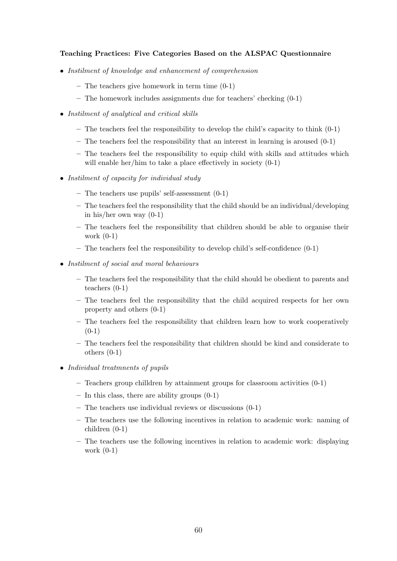### Teaching Practices: Five Categories Based on the ALSPAC Questionnaire

- Instilment of knowledge and enhancement of comprehension
	- The teachers give homework in term time (0-1)
	- The homework includes assignments due for teachers' checking (0-1)
- Instilment of analytical and critical skills
	- $-$  The teachers feel the responsibility to develop the child's capacity to think  $(0-1)$
	- The teachers feel the responsibility that an interest in learning is aroused (0-1)
	- The teachers feel the responsibility to equip child with skills and attitudes which will enable her/him to take a place effectively in society  $(0-1)$
- Instilment of capacity for individual study
	- The teachers use pupils' self-assessment  $(0-1)$
	- The teachers feel the responsibility that the child should be an individual/developing in his/her own way (0-1)
	- The teachers feel the responsibility that children should be able to organise their work (0-1)
	- The teachers feel the responsibility to develop child's self-confidence (0-1)
- Instilment of social and moral behaviours
	- The teachers feel the responsibility that the child should be obedient to parents and teachers (0-1)
	- The teachers feel the responsibility that the child acquired respects for her own property and others (0-1)
	- The teachers feel the responsibility that children learn how to work cooperatively  $(0-1)$
	- The teachers feel the responsibility that children should be kind and considerate to others (0-1)
- Individual treatmnents of pupils
	- $-$  Teachers group chilldren by attainment groups for classroom activities  $(0-1)$
	- $-$  In this class, there are ability groups  $(0-1)$
	- The teachers use individual reviews or discussions (0-1)
	- The teachers use the following incentives in relation to academic work: naming of children (0-1)
	- The teachers use the following incentives in relation to academic work: displaying work (0-1)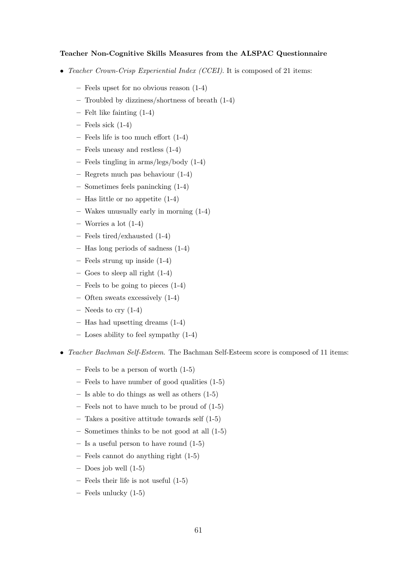#### Teacher Non-Cognitive Skills Measures from the ALSPAC Questionnaire

- Teacher Crown-Crisp Experiential Index (CCEI). It is composed of 21 items:
	- Feels upset for no obvious reason (1-4)
	- Troubled by dizziness/shortness of breath (1-4)
	- Felt like fainting (1-4)
	- $-$  Feels sick  $(1-4)$
	- Feels life is too much effort (1-4)
	- Feels uneasy and restless (1-4)
	- Feels tingling in arms/legs/body (1-4)
	- Regrets much pas behaviour (1-4)
	- Sometimes feels panincking (1-4)
	- Has little or no appetite (1-4)
	- Wakes unusually early in morning (1-4)
	- Worries a lot (1-4)
	- Feels tired/exhausted (1-4)
	- Has long periods of sadness (1-4)
	- Feels strung up inside (1-4)
	- Goes to sleep all right (1-4)
	- Feels to be going to pieces (1-4)
	- Often sweats excessively (1-4)
	- Needs to cry  $(1-4)$
	- Has had upsetting dreams (1-4)
	- Loses ability to feel sympathy (1-4)
- Teacher Bachman Self-Esteem. The Bachman Self-Esteem score is composed of 11 items:
	- Feels to be a person of worth (1-5)
	- Feels to have number of good qualities (1-5)
	- Is able to do things as well as others (1-5)
	- Feels not to have much to be proud of (1-5)
	- Takes a positive attitude towards self (1-5)
	- Sometimes thinks to be not good at all (1-5)
	- Is a useful person to have round (1-5)
	- Feels cannot do anything right (1-5)
	- $-$  Does job well  $(1-5)$
	- Feels their life is not useful (1-5)
	- Feels unlucky (1-5)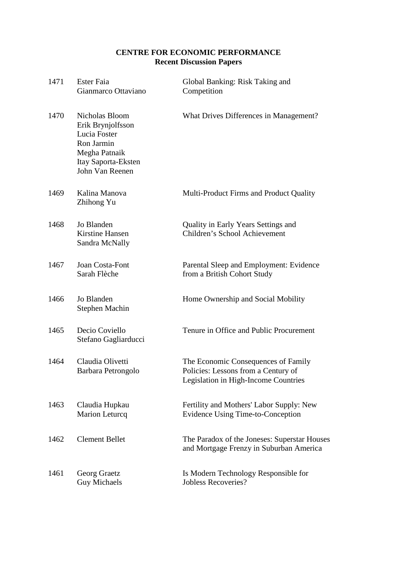## **CENTRE FOR ECONOMIC PERFORMANCE Recent Discussion Papers**

| 1471 | Ester Faia<br>Gianmarco Ottaviano                                                                                            | Global Banking: Risk Taking and<br>Competition                                                                     |
|------|------------------------------------------------------------------------------------------------------------------------------|--------------------------------------------------------------------------------------------------------------------|
| 1470 | Nicholas Bloom<br>Erik Brynjolfsson<br>Lucia Foster<br>Ron Jarmin<br>Megha Patnaik<br>Itay Saporta-Eksten<br>John Van Reenen | What Drives Differences in Management?                                                                             |
| 1469 | Kalina Manova<br>Zhihong Yu                                                                                                  | Multi-Product Firms and Product Quality                                                                            |
| 1468 | Jo Blanden<br><b>Kirstine Hansen</b><br>Sandra McNally                                                                       | Quality in Early Years Settings and<br>Children's School Achievement                                               |
| 1467 | Joan Costa-Font<br>Sarah Flèche                                                                                              | Parental Sleep and Employment: Evidence<br>from a British Cohort Study                                             |
| 1466 | Jo Blanden<br>Stephen Machin                                                                                                 | Home Ownership and Social Mobility                                                                                 |
| 1465 | Decio Coviello<br>Stefano Gagliarducci                                                                                       | Tenure in Office and Public Procurement                                                                            |
| 1464 | Claudia Olivetti<br>Barbara Petrongolo                                                                                       | The Economic Consequences of Family<br>Policies: Lessons from a Century of<br>Legislation in High-Income Countries |
| 1463 | Claudia Hupkau<br><b>Marion Leturcq</b>                                                                                      | Fertility and Mothers' Labor Supply: New<br>Evidence Using Time-to-Conception                                      |
| 1462 | <b>Clement Bellet</b>                                                                                                        | The Paradox of the Joneses: Superstar Houses<br>and Mortgage Frenzy in Suburban America                            |
| 1461 | Georg Graetz<br><b>Guy Michaels</b>                                                                                          | Is Modern Technology Responsible for<br><b>Jobless Recoveries?</b>                                                 |